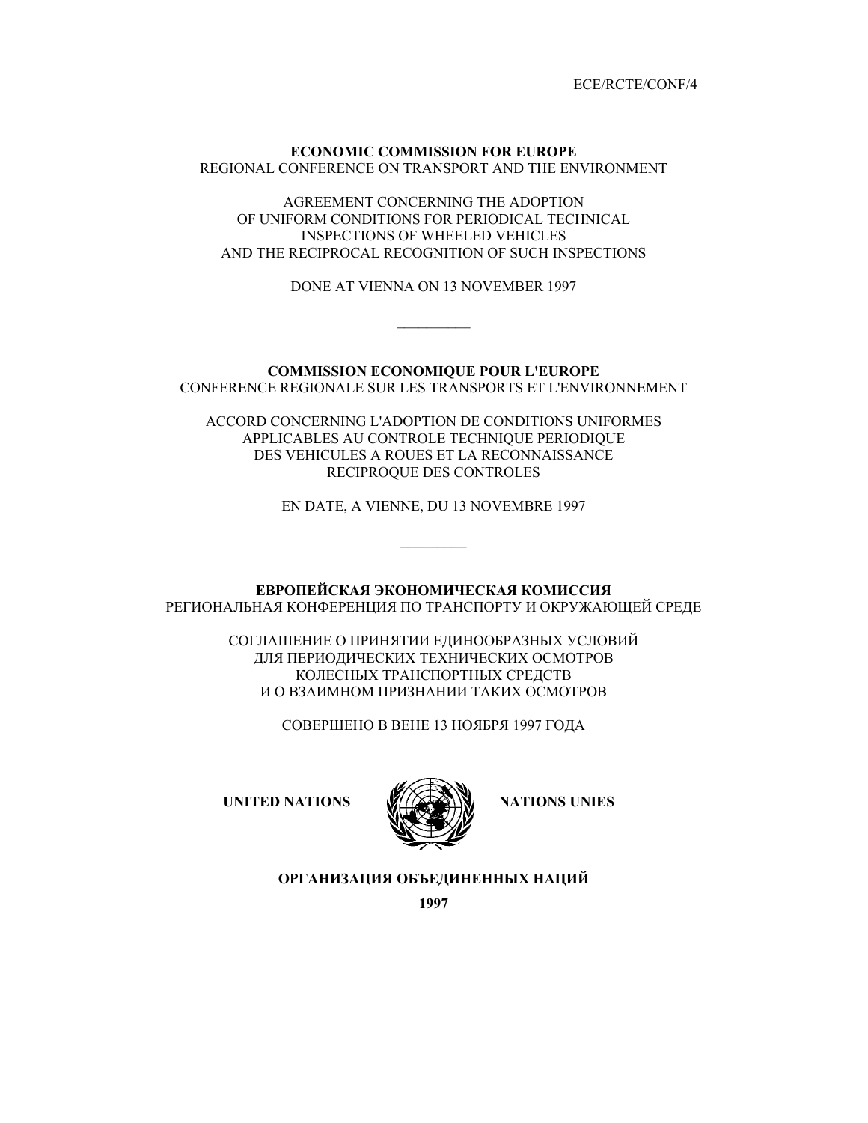ECE/RCTE/CONF/4

## **ECONOMIC COMMISSION FOR EUROPE**  REGIONAL CONFERENCE ON TRANSPORT AND THE ENVIRONMENT

AGREEMENT CONCERNING THE ADOPTION OF UNIFORM CONDITIONS FOR PERIODICAL TECHNICAL INSPECTIONS OF WHEELED VEHICLES AND THE RECIPROCAL RECOGNITION OF SUCH INSPECTIONS

DONE AT VIENNA ON 13 NOVEMBER 1997

 $\frac{1}{2}$ 

# **COMMISSION ECONOMIQUE POUR L'EUROPE**  CONFERENCE REGIONALE SUR LES TRANSPORTS ET L'ENVIRONNEMENT

ACCORD CONCERNING L'ADOPTION DE CONDITIONS UNIFORMES APPLICABLES AU CONTROLE TECHNIQUE PERIODIQUE DES VEHICULES A ROUES ET LA RECONNAISSANCE RECIPROQUE DES CONTROLES

EN DATE, A VIENNE, DU 13 NOVEMBRE 1997

 $\frac{1}{2}$ 

**ЕВРОПЕЙСКАЯ ЭКОНОМИЧЕСКАЯ КОМИССИЯ** РЕГИОНАЛЬНАЯ КОНФЕРЕНЦИЯ ПО ТРАНСПОРТУ И ОКРУЖАЮЩЕЙ СРЕДЕ

> СОГЛАШЕНИЕ О ПРИНЯТИИ ЕДИНООБРАЗНЫХ УСЛОВИЙ ДЛЯ ПЕРИОДИЧЕСКИХ ТЕХНИЧЕСКИХ ОСМОТРОВ КОЛЕСНЫХ ТРАНСПОРТНЫХ СРЕДСТВ И О ВЗАИМНОМ ПРИЗНАНИИ ТАКИХ ОСМОТРОВ

> > СОВЕРШЕНО В ВЕНЕ 13 НОЯБРЯ 1997 ГОДА

UNITED NATIONS **WILL SEE IN STRAIN STATIONS** UNIES



**ОРГАНИЗАЦИЯ ОБЪЕДИНЕННЫХ НАЦИЙ**

**1997**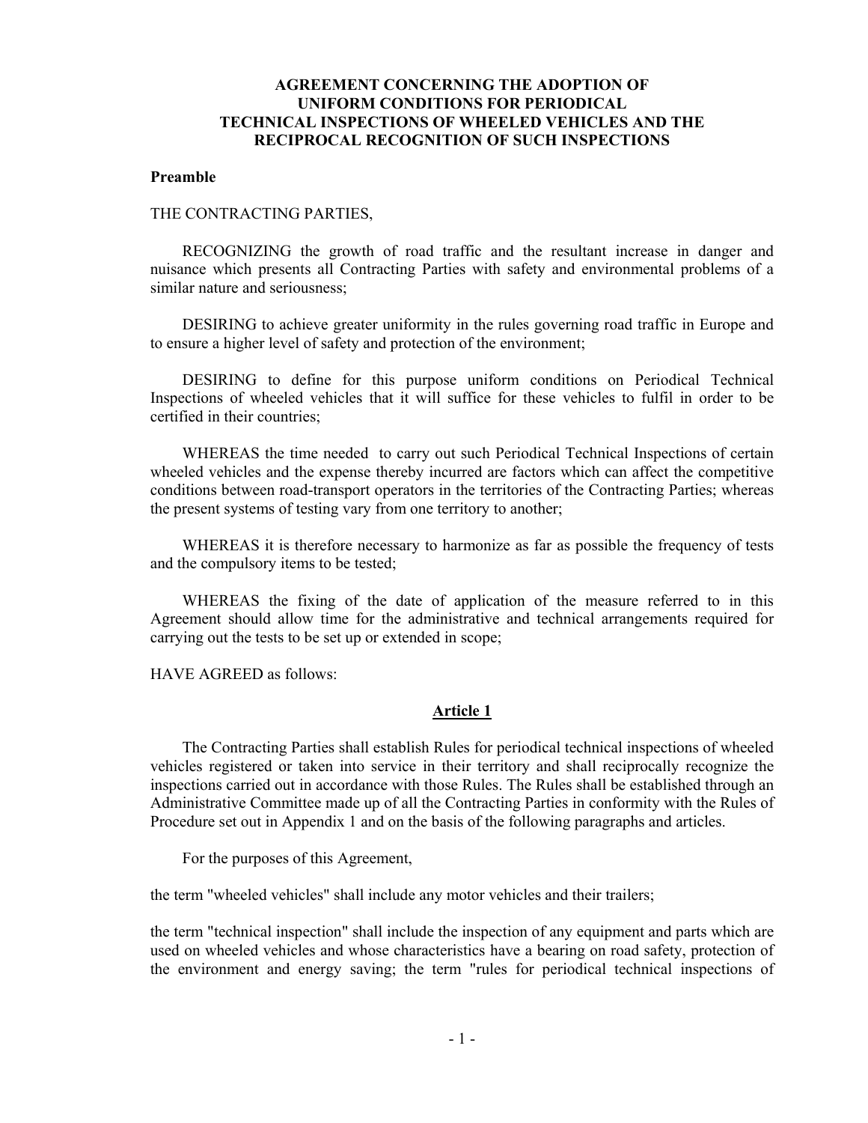# **AGREEMENT CONCERNING THE ADOPTION OF UNIFORM CONDITIONS FOR PERIODICAL TECHNICAL INSPECTIONS OF WHEELED VEHICLES AND THE RECIPROCAL RECOGNITION OF SUCH INSPECTIONS**

#### **Preamble**

#### THE CONTRACTING PARTIES,

RECOGNIZING the growth of road traffic and the resultant increase in danger and nuisance which presents all Contracting Parties with safety and environmental problems of a similar nature and seriousness;

DESIRING to achieve greater uniformity in the rules governing road traffic in Europe and to ensure a higher level of safety and protection of the environment;

DESIRING to define for this purpose uniform conditions on Periodical Technical Inspections of wheeled vehicles that it will suffice for these vehicles to fulfil in order to be certified in their countries;

WHEREAS the time needed to carry out such Periodical Technical Inspections of certain wheeled vehicles and the expense thereby incurred are factors which can affect the competitive conditions between road-transport operators in the territories of the Contracting Parties; whereas the present systems of testing vary from one territory to another;

WHEREAS it is therefore necessary to harmonize as far as possible the frequency of tests and the compulsory items to be tested;

WHEREAS the fixing of the date of application of the measure referred to in this Agreement should allow time for the administrative and technical arrangements required for carrying out the tests to be set up or extended in scope;

HAVE AGREED as follows:

#### **Article 1**

The Contracting Parties shall establish Rules for periodical technical inspections of wheeled vehicles registered or taken into service in their territory and shall reciprocally recognize the inspections carried out in accordance with those Rules. The Rules shall be established through an Administrative Committee made up of all the Contracting Parties in conformity with the Rules of Procedure set out in Appendix 1 and on the basis of the following paragraphs and articles.

For the purposes of this Agreement,

the term "wheeled vehicles" shall include any motor vehicles and their trailers;

the term "technical inspection" shall include the inspection of any equipment and parts which are used on wheeled vehicles and whose characteristics have a bearing on road safety, protection of the environment and energy saving; the term "rules for periodical technical inspections of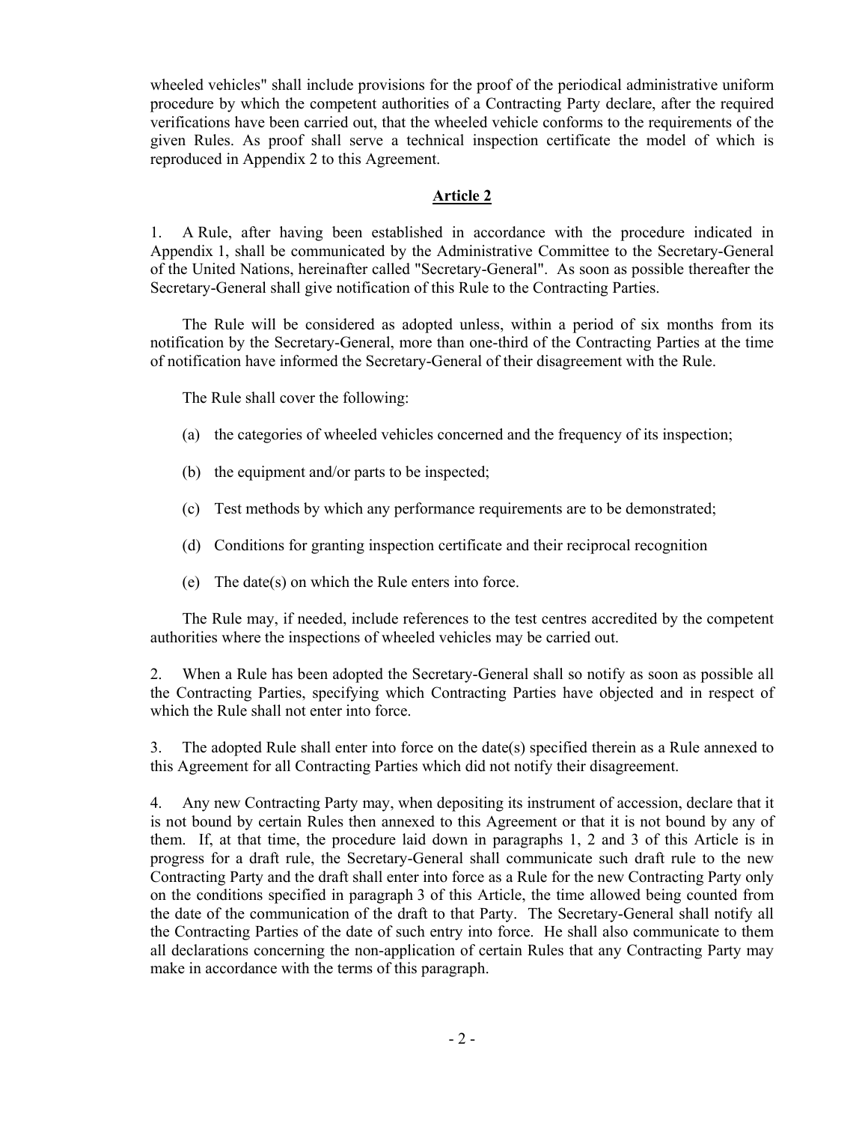wheeled vehicles" shall include provisions for the proof of the periodical administrative uniform procedure by which the competent authorities of a Contracting Party declare, after the required verifications have been carried out, that the wheeled vehicle conforms to the requirements of the given Rules. As proof shall serve a technical inspection certificate the model of which is reproduced in Appendix 2 to this Agreement.

### **Article 2**

1. A Rule, after having been established in accordance with the procedure indicated in Appendix 1, shall be communicated by the Administrative Committee to the Secretary-General of the United Nations, hereinafter called "Secretary-General". As soon as possible thereafter the Secretary-General shall give notification of this Rule to the Contracting Parties.

 The Rule will be considered as adopted unless, within a period of six months from its notification by the Secretary-General, more than one-third of the Contracting Parties at the time of notification have informed the Secretary-General of their disagreement with the Rule.

The Rule shall cover the following:

- (a) the categories of wheeled vehicles concerned and the frequency of its inspection;
- (b) the equipment and/or parts to be inspected;
- (c) Test methods by which any performance requirements are to be demonstrated;
- (d) Conditions for granting inspection certificate and their reciprocal recognition
- (e) The date(s) on which the Rule enters into force.

The Rule may, if needed, include references to the test centres accredited by the competent authorities where the inspections of wheeled vehicles may be carried out.

2. When a Rule has been adopted the Secretary-General shall so notify as soon as possible all the Contracting Parties, specifying which Contracting Parties have objected and in respect of which the Rule shall not enter into force.

3. The adopted Rule shall enter into force on the date(s) specified therein as a Rule annexed to this Agreement for all Contracting Parties which did not notify their disagreement.

4. Any new Contracting Party may, when depositing its instrument of accession, declare that it is not bound by certain Rules then annexed to this Agreement or that it is not bound by any of them. If, at that time, the procedure laid down in paragraphs 1, 2 and 3 of this Article is in progress for a draft rule, the Secretary-General shall communicate such draft rule to the new Contracting Party and the draft shall enter into force as a Rule for the new Contracting Party only on the conditions specified in paragraph 3 of this Article, the time allowed being counted from the date of the communication of the draft to that Party. The Secretary-General shall notify all the Contracting Parties of the date of such entry into force. He shall also communicate to them all declarations concerning the non-application of certain Rules that any Contracting Party may make in accordance with the terms of this paragraph.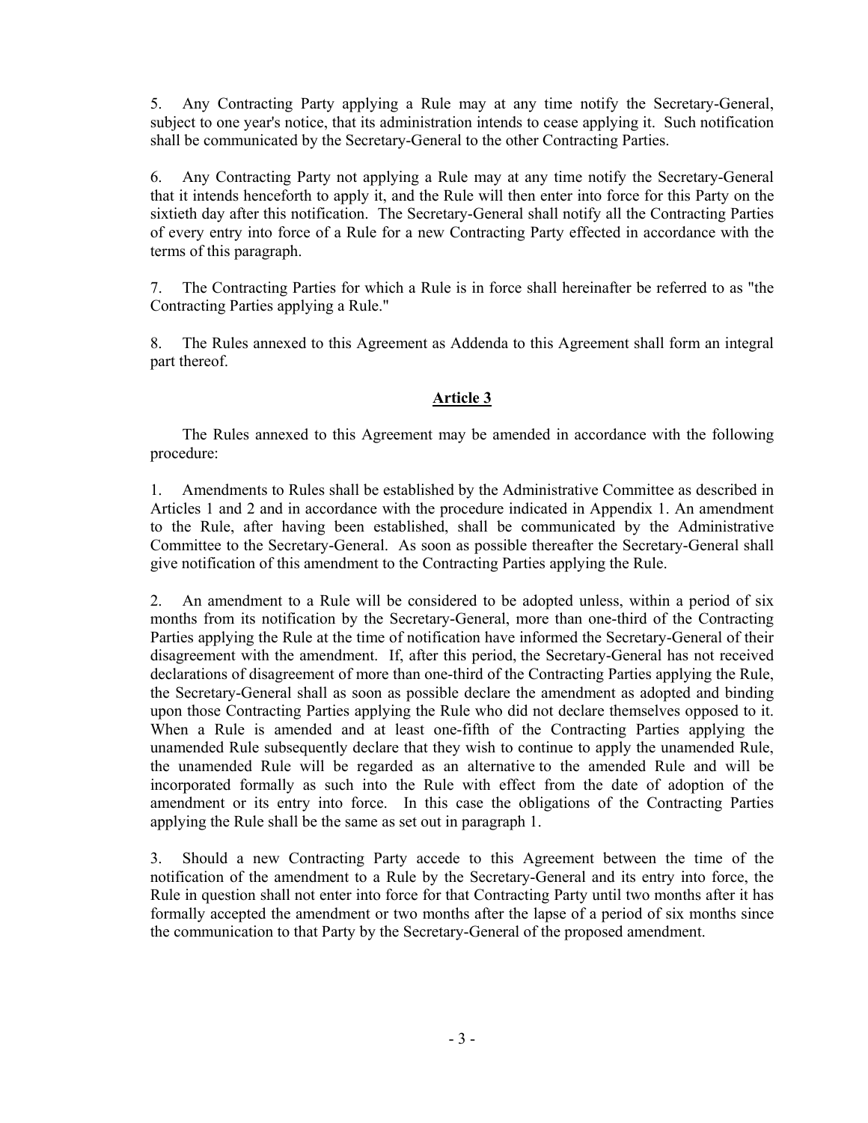5. Any Contracting Party applying a Rule may at any time notify the Secretary-General, subject to one year's notice, that its administration intends to cease applying it. Such notification shall be communicated by the Secretary-General to the other Contracting Parties.

6. Any Contracting Party not applying a Rule may at any time notify the Secretary-General that it intends henceforth to apply it, and the Rule will then enter into force for this Party on the sixtieth day after this notification. The Secretary-General shall notify all the Contracting Parties of every entry into force of a Rule for a new Contracting Party effected in accordance with the terms of this paragraph.

7. The Contracting Parties for which a Rule is in force shall hereinafter be referred to as "the Contracting Parties applying a Rule."

8. The Rules annexed to this Agreement as Addenda to this Agreement shall form an integral part thereof.

# **Article 3**

The Rules annexed to this Agreement may be amended in accordance with the following procedure:

1. Amendments to Rules shall be established by the Administrative Committee as described in Articles 1 and 2 and in accordance with the procedure indicated in Appendix 1. An amendment to the Rule, after having been established, shall be communicated by the Administrative Committee to the Secretary-General. As soon as possible thereafter the Secretary-General shall give notification of this amendment to the Contracting Parties applying the Rule.

2. An amendment to a Rule will be considered to be adopted unless, within a period of six months from its notification by the Secretary-General, more than one-third of the Contracting Parties applying the Rule at the time of notification have informed the Secretary-General of their disagreement with the amendment. If, after this period, the Secretary-General has not received declarations of disagreement of more than one-third of the Contracting Parties applying the Rule, the Secretary-General shall as soon as possible declare the amendment as adopted and binding upon those Contracting Parties applying the Rule who did not declare themselves opposed to it. When a Rule is amended and at least one-fifth of the Contracting Parties applying the unamended Rule subsequently declare that they wish to continue to apply the unamended Rule, the unamended Rule will be regarded as an alternative to the amended Rule and will be incorporated formally as such into the Rule with effect from the date of adoption of the amendment or its entry into force. In this case the obligations of the Contracting Parties applying the Rule shall be the same as set out in paragraph 1.

3. Should a new Contracting Party accede to this Agreement between the time of the notification of the amendment to a Rule by the Secretary-General and its entry into force, the Rule in question shall not enter into force for that Contracting Party until two months after it has formally accepted the amendment or two months after the lapse of a period of six months since the communication to that Party by the Secretary-General of the proposed amendment.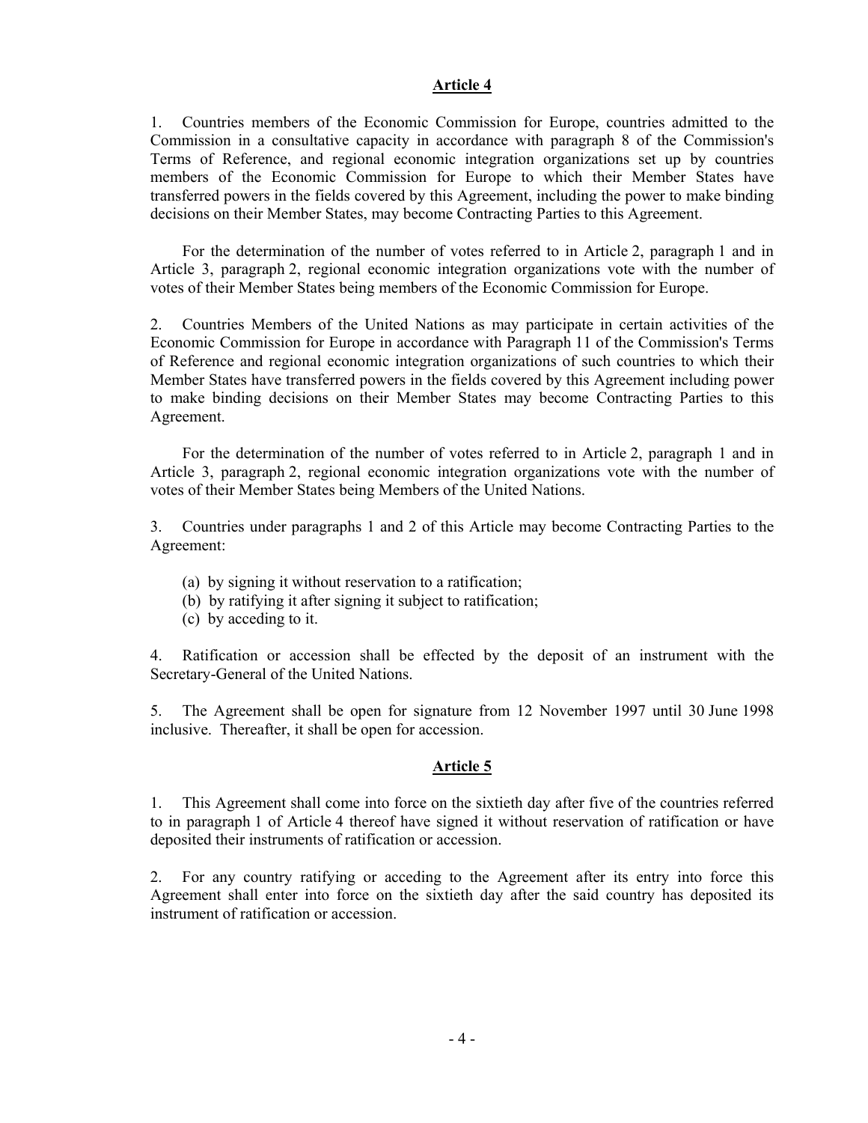### **Article 4**

1. Countries members of the Economic Commission for Europe, countries admitted to the Commission in a consultative capacity in accordance with paragraph 8 of the Commission's Terms of Reference, and regional economic integration organizations set up by countries members of the Economic Commission for Europe to which their Member States have transferred powers in the fields covered by this Agreement, including the power to make binding decisions on their Member States, may become Contracting Parties to this Agreement.

For the determination of the number of votes referred to in Article 2, paragraph 1 and in Article 3, paragraph 2, regional economic integration organizations vote with the number of votes of their Member States being members of the Economic Commission for Europe.

2. Countries Members of the United Nations as may participate in certain activities of the Economic Commission for Europe in accordance with Paragraph 11 of the Commission's Terms of Reference and regional economic integration organizations of such countries to which their Member States have transferred powers in the fields covered by this Agreement including power to make binding decisions on their Member States may become Contracting Parties to this Agreement.

For the determination of the number of votes referred to in Article 2, paragraph 1 and in Article 3, paragraph 2, regional economic integration organizations vote with the number of votes of their Member States being Members of the United Nations.

3. Countries under paragraphs 1 and 2 of this Article may become Contracting Parties to the Agreement:

- (a) by signing it without reservation to a ratification;
- (b) by ratifying it after signing it subject to ratification;
- (c) by acceding to it.

4. Ratification or accession shall be effected by the deposit of an instrument with the Secretary-General of the United Nations.

5. The Agreement shall be open for signature from 12 November 1997 until 30 June 1998 inclusive. Thereafter, it shall be open for accession.

#### **Article 5**

1. This Agreement shall come into force on the sixtieth day after five of the countries referred to in paragraph 1 of Article 4 thereof have signed it without reservation of ratification or have deposited their instruments of ratification or accession.

2. For any country ratifying or acceding to the Agreement after its entry into force this Agreement shall enter into force on the sixtieth day after the said country has deposited its instrument of ratification or accession.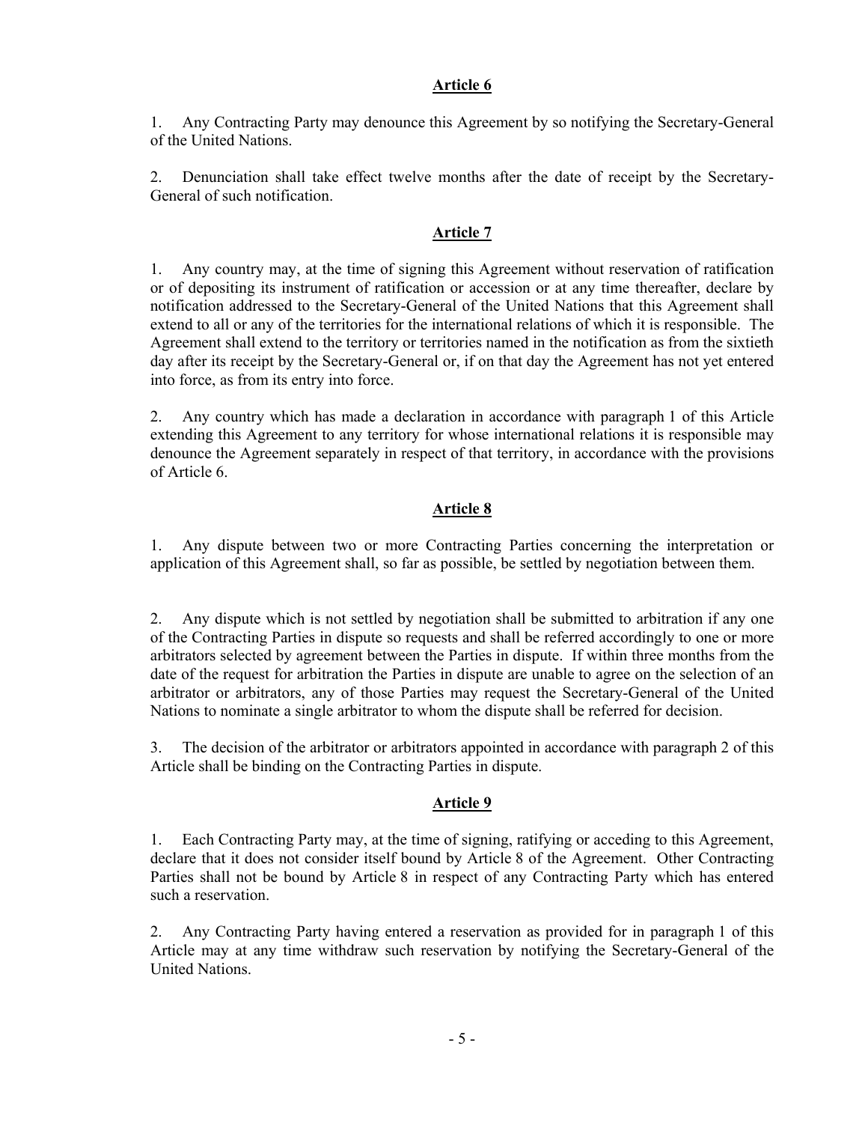# **Article 6**

1. Any Contracting Party may denounce this Agreement by so notifying the Secretary-General of the United Nations.

2. Denunciation shall take effect twelve months after the date of receipt by the Secretary-General of such notification.

# **Article 7**

1. Any country may, at the time of signing this Agreement without reservation of ratification or of depositing its instrument of ratification or accession or at any time thereafter, declare by notification addressed to the Secretary-General of the United Nations that this Agreement shall extend to all or any of the territories for the international relations of which it is responsible. The Agreement shall extend to the territory or territories named in the notification as from the sixtieth day after its receipt by the Secretary-General or, if on that day the Agreement has not yet entered into force, as from its entry into force.

2. Any country which has made a declaration in accordance with paragraph 1 of this Article extending this Agreement to any territory for whose international relations it is responsible may denounce the Agreement separately in respect of that territory, in accordance with the provisions of Article 6.

# **Article 8**

1. Any dispute between two or more Contracting Parties concerning the interpretation or application of this Agreement shall, so far as possible, be settled by negotiation between them.

2. Any dispute which is not settled by negotiation shall be submitted to arbitration if any one of the Contracting Parties in dispute so requests and shall be referred accordingly to one or more arbitrators selected by agreement between the Parties in dispute. If within three months from the date of the request for arbitration the Parties in dispute are unable to agree on the selection of an arbitrator or arbitrators, any of those Parties may request the Secretary-General of the United Nations to nominate a single arbitrator to whom the dispute shall be referred for decision.

3. The decision of the arbitrator or arbitrators appointed in accordance with paragraph 2 of this Article shall be binding on the Contracting Parties in dispute.

# **Article 9**

1. Each Contracting Party may, at the time of signing, ratifying or acceding to this Agreement, declare that it does not consider itself bound by Article 8 of the Agreement. Other Contracting Parties shall not be bound by Article 8 in respect of any Contracting Party which has entered such a reservation.

2. Any Contracting Party having entered a reservation as provided for in paragraph 1 of this Article may at any time withdraw such reservation by notifying the Secretary-General of the United Nations.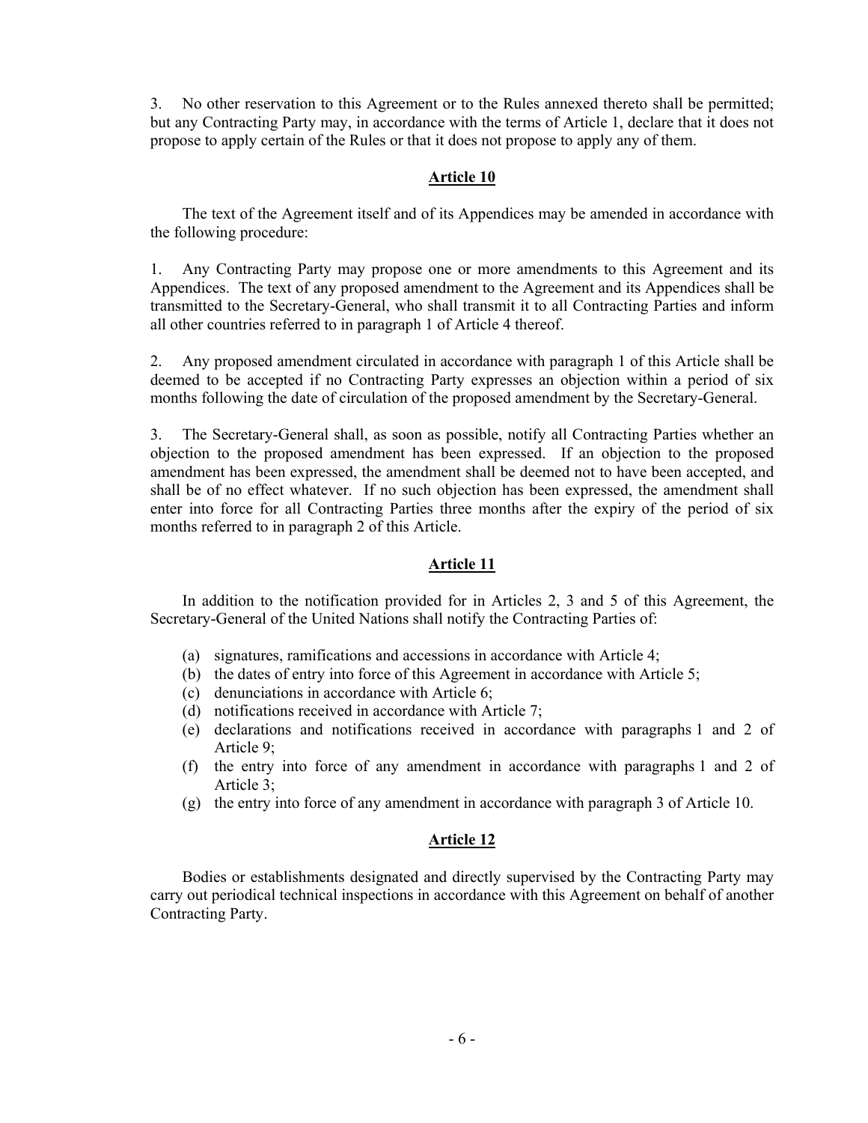3. No other reservation to this Agreement or to the Rules annexed thereto shall be permitted; but any Contracting Party may, in accordance with the terms of Article 1, declare that it does not propose to apply certain of the Rules or that it does not propose to apply any of them.

## **Article 10**

The text of the Agreement itself and of its Appendices may be amended in accordance with the following procedure:

1. Any Contracting Party may propose one or more amendments to this Agreement and its Appendices. The text of any proposed amendment to the Agreement and its Appendices shall be transmitted to the Secretary-General, who shall transmit it to all Contracting Parties and inform all other countries referred to in paragraph 1 of Article 4 thereof.

2. Any proposed amendment circulated in accordance with paragraph 1 of this Article shall be deemed to be accepted if no Contracting Party expresses an objection within a period of six months following the date of circulation of the proposed amendment by the Secretary-General.

3. The Secretary-General shall, as soon as possible, notify all Contracting Parties whether an objection to the proposed amendment has been expressed. If an objection to the proposed amendment has been expressed, the amendment shall be deemed not to have been accepted, and shall be of no effect whatever. If no such objection has been expressed, the amendment shall enter into force for all Contracting Parties three months after the expiry of the period of six months referred to in paragraph 2 of this Article.

### **Article 11**

In addition to the notification provided for in Articles 2, 3 and 5 of this Agreement, the Secretary-General of the United Nations shall notify the Contracting Parties of:

- (a) signatures, ramifications and accessions in accordance with Article 4;
- (b) the dates of entry into force of this Agreement in accordance with Article 5;
- (c) denunciations in accordance with Article 6;
- (d) notifications received in accordance with Article 7;
- (e) declarations and notifications received in accordance with paragraphs 1 and 2 of Article 9;
- (f) the entry into force of any amendment in accordance with paragraphs 1 and 2 of Article 3;
- (g) the entry into force of any amendment in accordance with paragraph 3 of Article 10.

# **Article 12**

Bodies or establishments designated and directly supervised by the Contracting Party may carry out periodical technical inspections in accordance with this Agreement on behalf of another Contracting Party.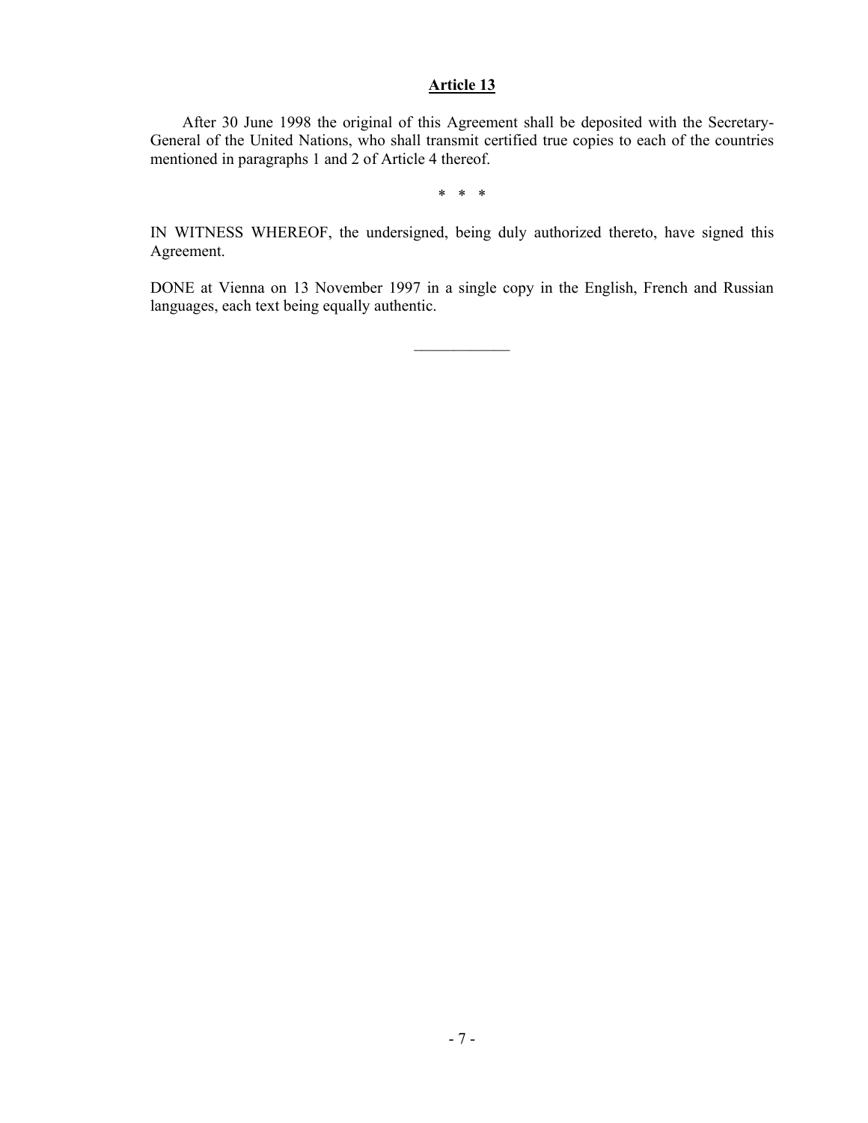# **Article 13**

After 30 June 1998 the original of this Agreement shall be deposited with the Secretary-General of the United Nations, who shall transmit certified true copies to each of the countries mentioned in paragraphs 1 and 2 of Article 4 thereof.

\* \* \*

IN WITNESS WHEREOF, the undersigned, being duly authorized thereto, have signed this Agreement.

DONE at Vienna on 13 November 1997 in a single copy in the English, French and Russian languages, each text being equally authentic.

 $\mathcal{L}_\text{max}$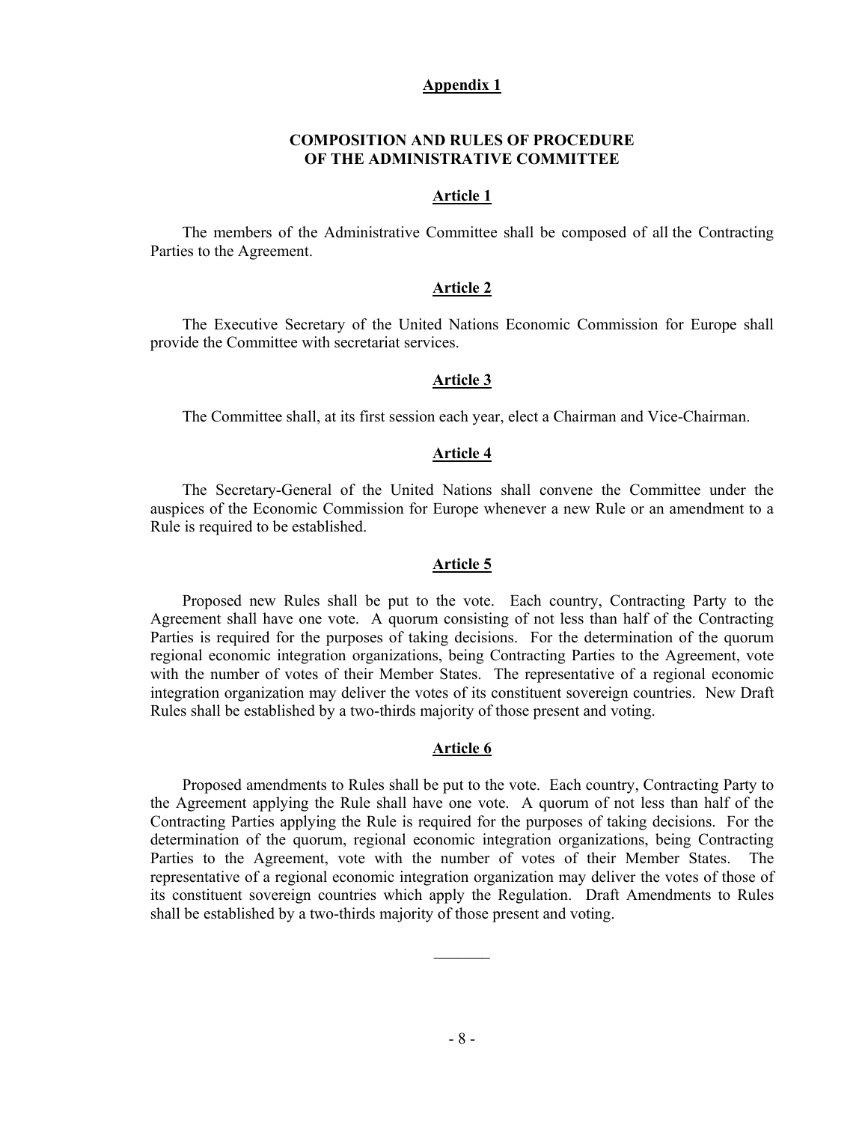#### **Appendix 1**

### **COMPOSITION AND RULES OF PROCEDURE OF THE ADMINISTRATIVE COMMITTEE**

#### **Article 1**

The members of the Administrative Committee shall be composed of all the Contracting Parties to the Agreement.

#### **Article 2**

The Executive Secretary of the United Nations Economic Commission for Europe shall provide the Committee with secretariat services.

#### **Article 3**

The Committee shall, at its first session each year, elect a Chairman and Vice-Chairman.

### **Article 4**

The Secretary-General of the United Nations shall convene the Committee under the auspices of the Economic Commission for Europe whenever a new Rule or an amendment to a Rule is required to be established.

#### **Article 5**

Proposed new Rules shall be put to the vote. Each country, Contracting Party to the Agreement shall have one vote. A quorum consisting of not less than half of the Contracting Parties is required for the purposes of taking decisions. For the determination of the quorum regional economic integration organizations, being Contracting Parties to the Agreement, vote with the number of votes of their Member States. The representative of a regional economic integration organization may deliver the votes of its constituent sovereign countries. New Draft Rules shall be established by a two-thirds majority of those present and voting.

#### **Article 6**

Proposed amendments to Rules shall be put to the vote. Each country, Contracting Party to the Agreement applying the Rule shall have one vote. A quorum of not less than half of the Contracting Parties applying the Rule is required for the purposes of taking decisions. For the determination of the quorum, regional economic integration organizations, being Contracting Parties to the Agreement, vote with the number of votes of their Member States. The representative of a regional economic integration organization may deliver the votes of those of its constituent sovereign countries which apply the Regulation. Draft Amendments to Rules shall be established by a two-thirds majority of those present and voting.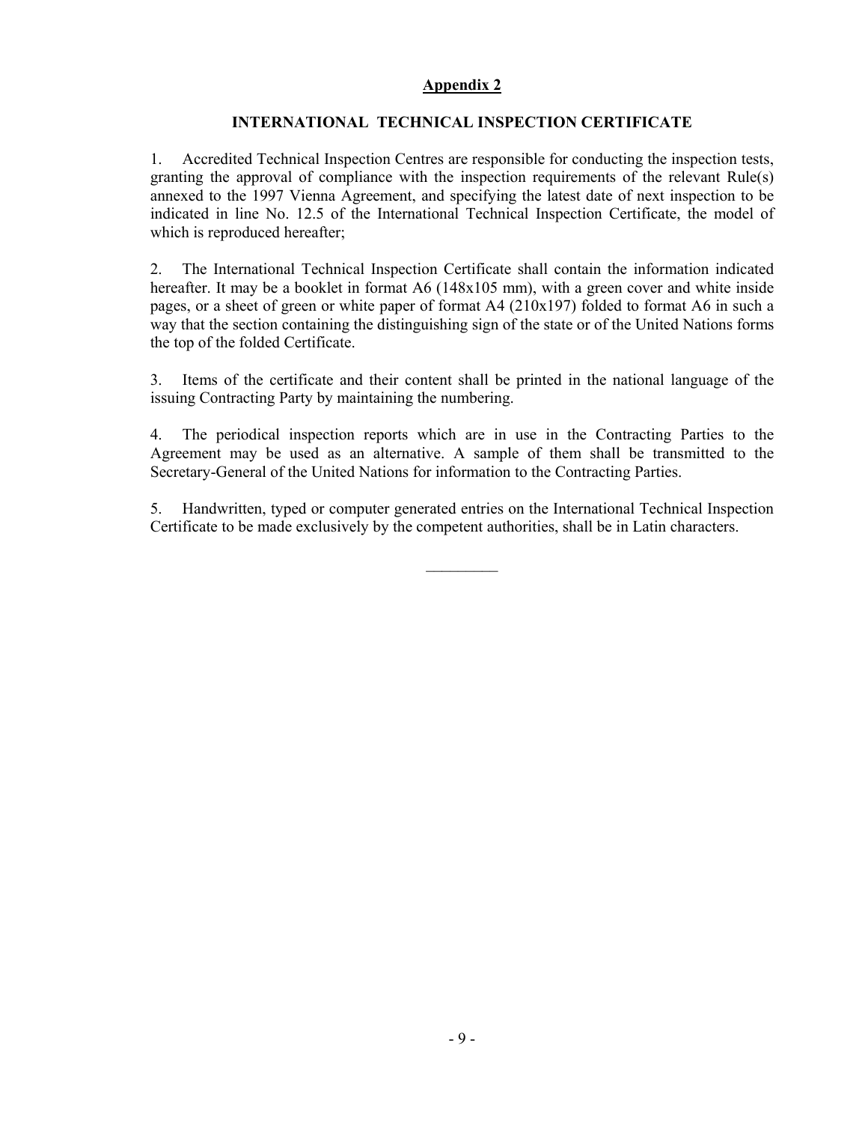# **Appendix 2**

# **INTERNATIONAL TECHNICAL INSPECTION CERTIFICATE**

1. Accredited Technical Inspection Centres are responsible for conducting the inspection tests, granting the approval of compliance with the inspection requirements of the relevant Rule(s) annexed to the 1997 Vienna Agreement, and specifying the latest date of next inspection to be indicated in line No. 12.5 of the International Technical Inspection Certificate, the model of which is reproduced hereafter;

2. The International Technical Inspection Certificate shall contain the information indicated hereafter. It may be a booklet in format A6 (148x105 mm), with a green cover and white inside pages, or a sheet of green or white paper of format A4 (210x197) folded to format A6 in such a way that the section containing the distinguishing sign of the state or of the United Nations forms the top of the folded Certificate.

3. Items of the certificate and their content shall be printed in the national language of the issuing Contracting Party by maintaining the numbering.

4. The periodical inspection reports which are in use in the Contracting Parties to the Agreement may be used as an alternative. A sample of them shall be transmitted to the Secretary-General of the United Nations for information to the Contracting Parties.

5. Handwritten, typed or computer generated entries on the International Technical Inspection Certificate to be made exclusively by the competent authorities, shall be in Latin characters.

 $\mathcal{L}_\text{max}$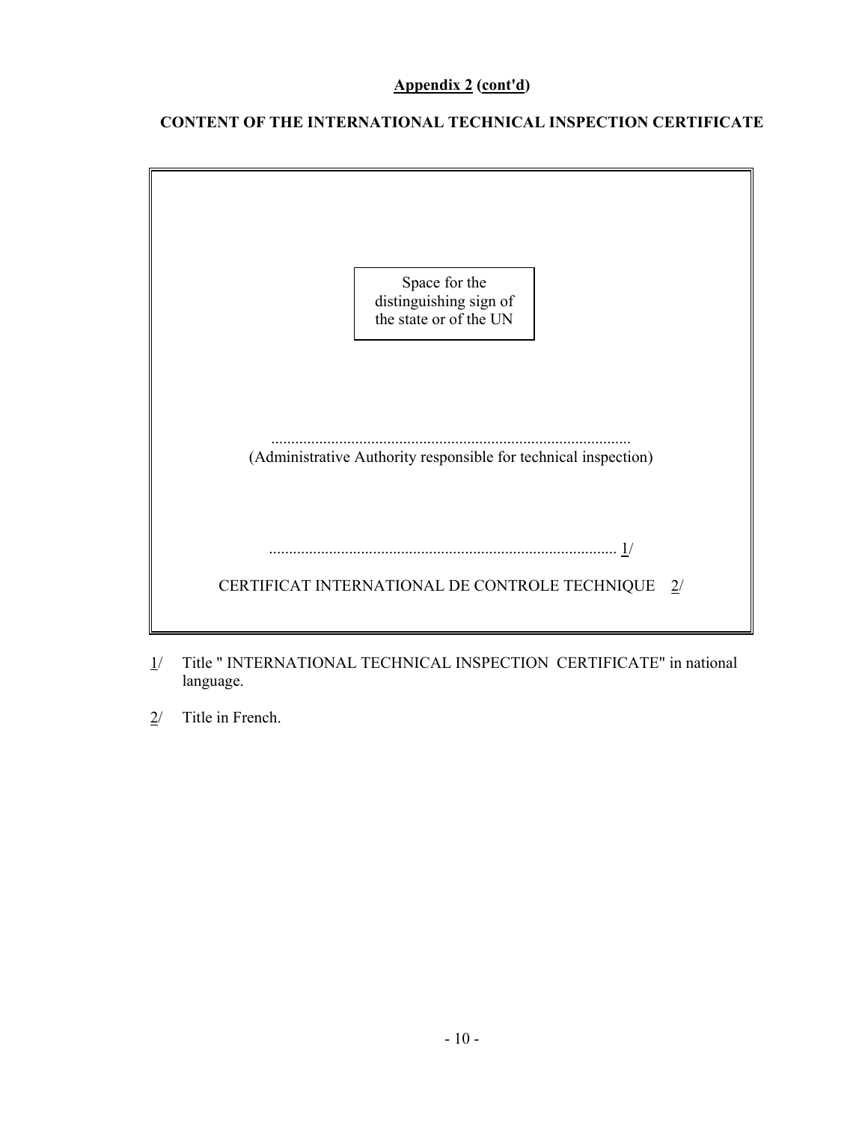# **Appendix 2 (cont'd)**

# **CONTENT OF THE INTERNATIONAL TECHNICAL INSPECTION CERTIFICATE**



- 1/ Title " INTERNATIONAL TECHNICAL INSPECTION CERTIFICATE" in national language.
- 2/ Title in French.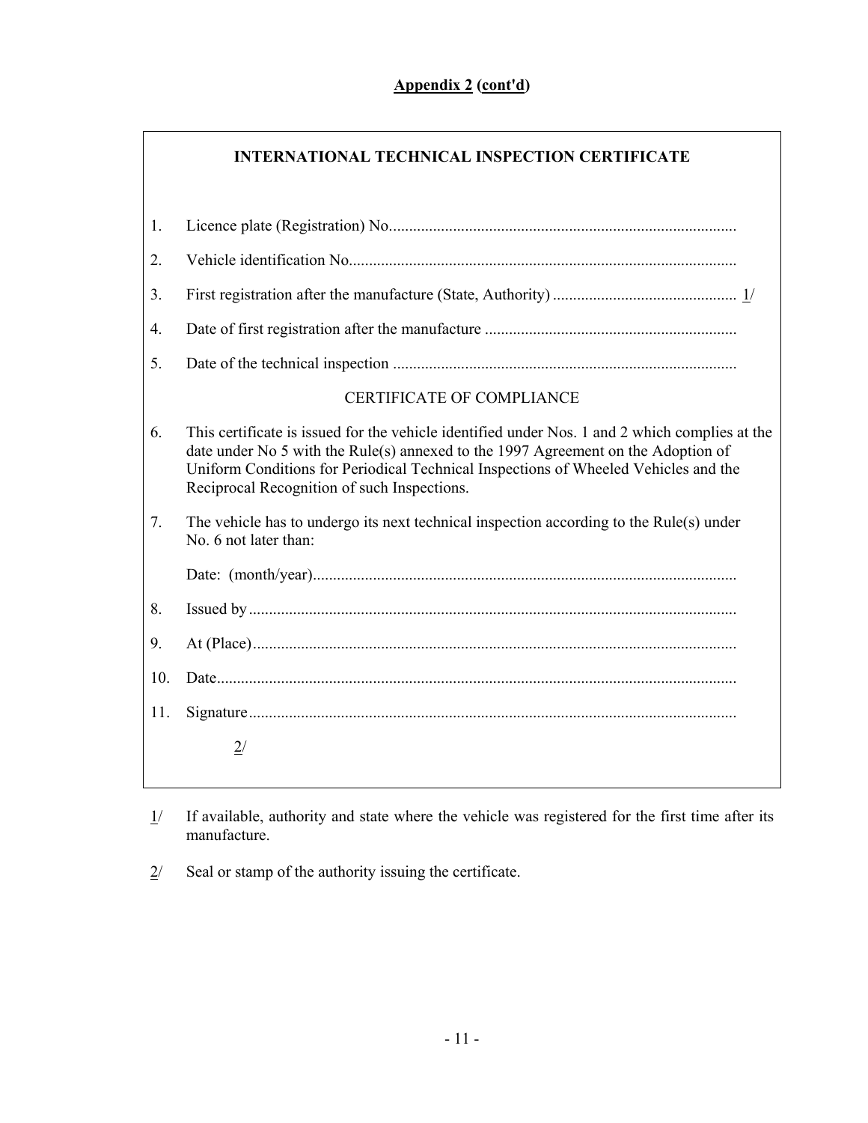|     | <b>INTERNATIONAL TECHNICAL INSPECTION CERTIFICATE</b>                                                                                                                                                                                                                                                                     |
|-----|---------------------------------------------------------------------------------------------------------------------------------------------------------------------------------------------------------------------------------------------------------------------------------------------------------------------------|
| 1.  |                                                                                                                                                                                                                                                                                                                           |
| 2.  |                                                                                                                                                                                                                                                                                                                           |
| 3.  |                                                                                                                                                                                                                                                                                                                           |
| 4.  |                                                                                                                                                                                                                                                                                                                           |
| 5.  |                                                                                                                                                                                                                                                                                                                           |
|     | <b>CERTIFICATE OF COMPLIANCE</b>                                                                                                                                                                                                                                                                                          |
| 6.  | This certificate is issued for the vehicle identified under Nos. 1 and 2 which complies at the<br>date under No 5 with the Rule(s) annexed to the 1997 Agreement on the Adoption of<br>Uniform Conditions for Periodical Technical Inspections of Wheeled Vehicles and the<br>Reciprocal Recognition of such Inspections. |
| 7.  | The vehicle has to undergo its next technical inspection according to the Rule(s) under<br>No. 6 not later than:                                                                                                                                                                                                          |
|     |                                                                                                                                                                                                                                                                                                                           |
| 8.  |                                                                                                                                                                                                                                                                                                                           |
| 9.  |                                                                                                                                                                                                                                                                                                                           |
| 10. |                                                                                                                                                                                                                                                                                                                           |
| 11. |                                                                                                                                                                                                                                                                                                                           |
|     | 2/                                                                                                                                                                                                                                                                                                                        |
|     |                                                                                                                                                                                                                                                                                                                           |

- $1/$  If available, authority and state where the vehicle was registered for the first time after its manufacture.
- $2$  Seal or stamp of the authority issuing the certificate.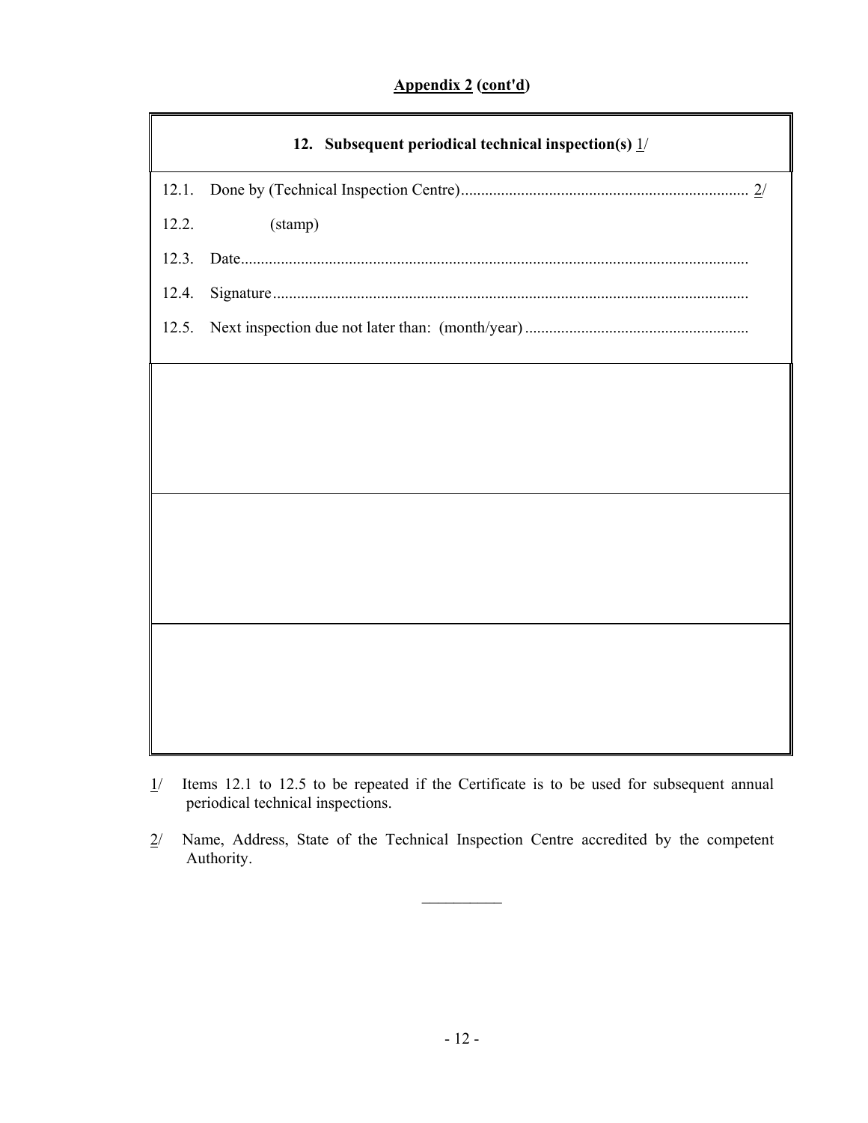# **Appendix 2 (cont'd)**

|       | 12. Subsequent periodical technical inspection(s) $1/$ |
|-------|--------------------------------------------------------|
| 12.1. |                                                        |
| 12.2. | (stamp)                                                |
| 12.3. |                                                        |
| 12.4. |                                                        |
| 12.5. |                                                        |
|       |                                                        |
|       |                                                        |
|       |                                                        |
|       |                                                        |
|       |                                                        |
|       |                                                        |
|       |                                                        |
|       |                                                        |
|       |                                                        |
|       |                                                        |
|       |                                                        |

- 1/ Items 12.1 to 12.5 to be repeated if the Certificate is to be used for subsequent annual periodical technical inspections.
- 2/ Name, Address, State of the Technical Inspection Centre accredited by the competent Authority.

 $\mathcal{L}_\text{max}$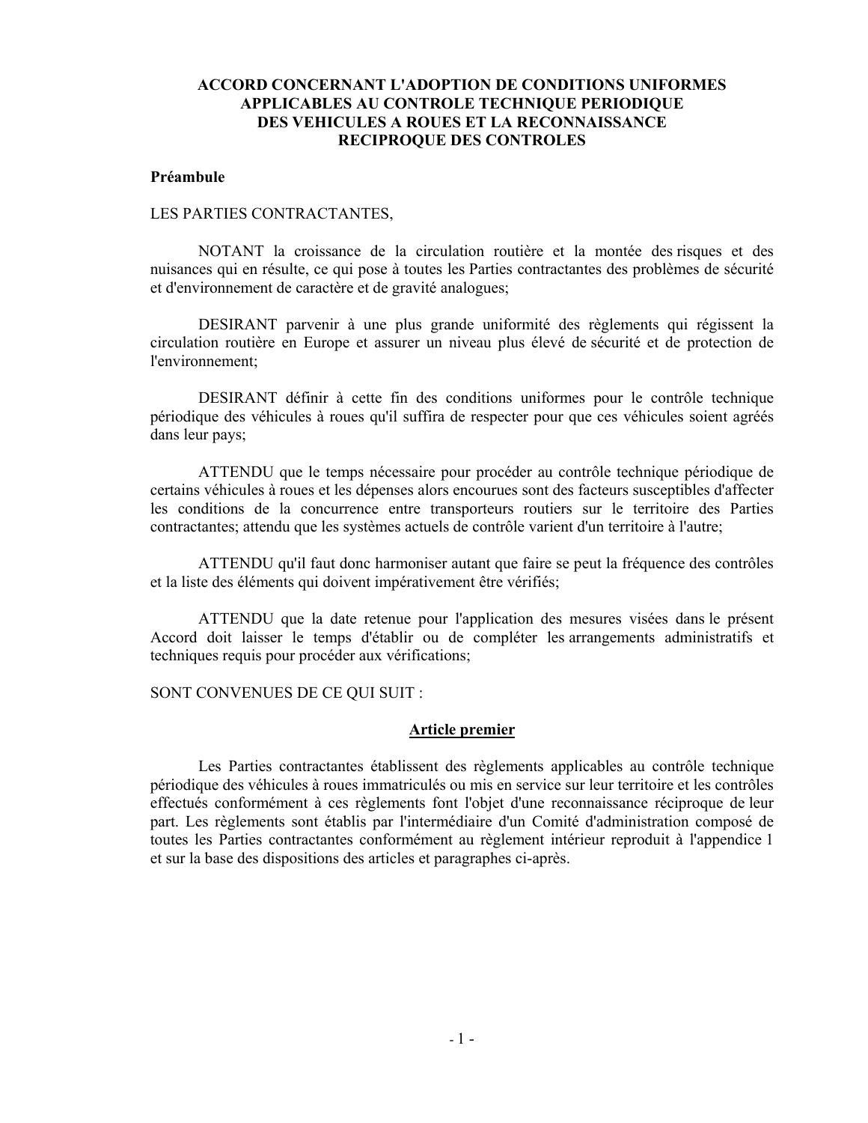# **ACCORD CONCERNANT L'ADOPTION DE CONDITIONS UNIFORMES APPLICABLES AU CONTROLE TECHNIQUE PERIODIQUE DES VEHICULES A ROUES ET LA RECONNAISSANCE RECIPROQUE DES CONTROLES**

#### **Préambule**

#### LES PARTIES CONTRACTANTES,

NOTANT la croissance de la circulation routière et la montée des risques et des nuisances qui en résulte, ce qui pose à toutes les Parties contractantes des problèmes de sécurité et d'environnement de caractère et de gravité analogues;

DESIRANT parvenir à une plus grande uniformité des règlements qui régissent la circulation routière en Europe et assurer un niveau plus élevé de sécurité et de protection de l'environnement;

DESIRANT définir à cette fin des conditions uniformes pour le contrôle technique périodique des véhicules à roues qu'il suffira de respecter pour que ces véhicules soient agréés dans leur pays;

ATTENDU que le temps nécessaire pour procéder au contrôle technique périodique de certains véhicules à roues et les dépenses alors encourues sont des facteurs susceptibles d'affecter les conditions de la concurrence entre transporteurs routiers sur le territoire des Parties contractantes; attendu que les systèmes actuels de contrôle varient d'un territoire à l'autre;

ATTENDU qu'il faut donc harmoniser autant que faire se peut la fréquence des contrôles et la liste des éléments qui doivent impérativement être vérifiés;

ATTENDU que la date retenue pour l'application des mesures visées dans le présent Accord doit laisser le temps d'établir ou de compléter les arrangements administratifs et techniques requis pour procéder aux vérifications;

SONT CONVENUES DE CE QUI SUIT :

#### **Article premier**

Les Parties contractantes établissent des règlements applicables au contrôle technique périodique des véhicules à roues immatriculés ou mis en service sur leur territoire et les contrôles effectués conformément à ces règlements font l'objet d'une reconnaissance réciproque de leur part. Les règlements sont établis par l'intermédiaire d'un Comité d'administration composé de toutes les Parties contractantes conformément au règlement intérieur reproduit à l'appendice 1 et sur la base des dispositions des articles et paragraphes ci-après.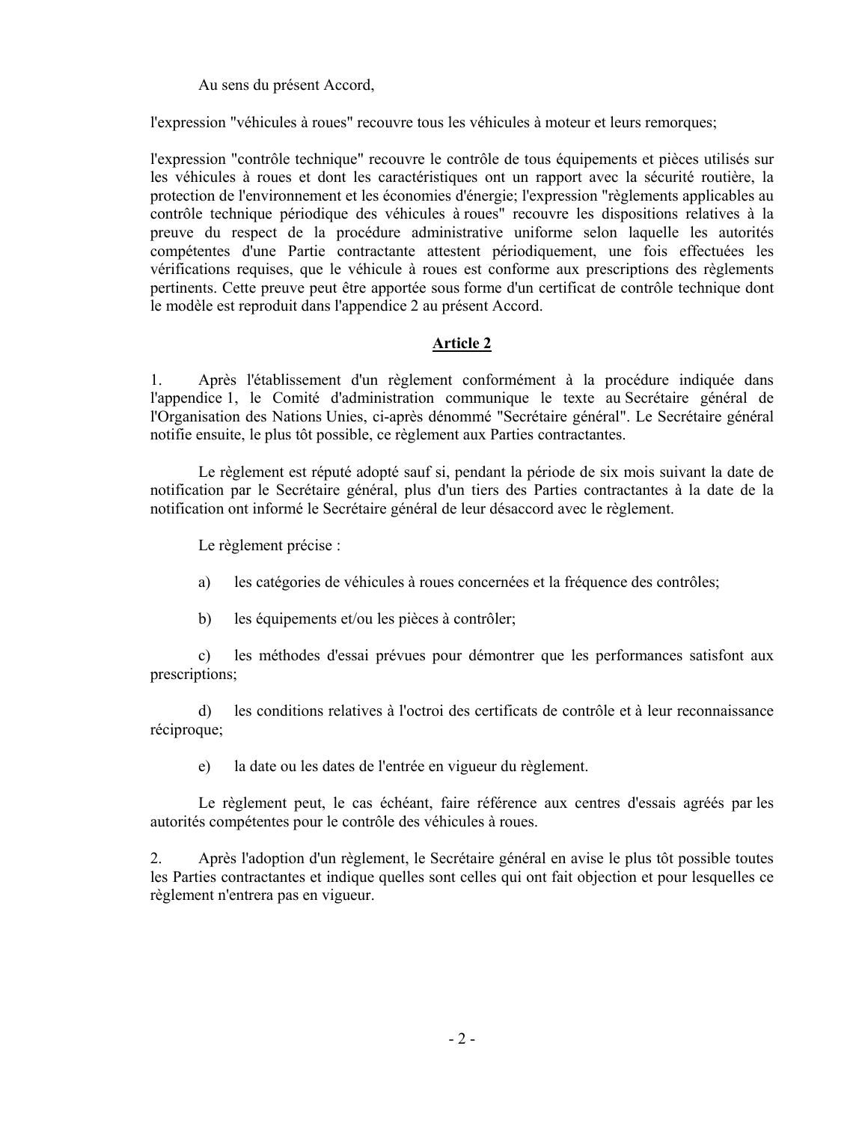Au sens du présent Accord,

l'expression "véhicules à roues" recouvre tous les véhicules à moteur et leurs remorques;

l'expression "contrôle technique" recouvre le contrôle de tous équipements et pièces utilisés sur les véhicules à roues et dont les caractéristiques ont un rapport avec la sécurité routière, la protection de l'environnement et les économies d'énergie; l'expression "règlements applicables au contrôle technique périodique des véhicules à roues" recouvre les dispositions relatives à la preuve du respect de la procédure administrative uniforme selon laquelle les autorités compétentes d'une Partie contractante attestent périodiquement, une fois effectuées les vérifications requises, que le véhicule à roues est conforme aux prescriptions des règlements pertinents. Cette preuve peut être apportée sous forme d'un certificat de contrôle technique dont le modèle est reproduit dans l'appendice 2 au présent Accord.

# **Article 2**

1. Après l'établissement d'un règlement conformément à la procédure indiquée dans l'appendice 1, le Comité d'administration communique le texte au Secrétaire général de l'Organisation des Nations Unies, ci-après dénommé "Secrétaire général". Le Secrétaire général notifie ensuite, le plus tôt possible, ce règlement aux Parties contractantes.

Le règlement est réputé adopté sauf si, pendant la période de six mois suivant la date de notification par le Secrétaire général, plus d'un tiers des Parties contractantes à la date de la notification ont informé le Secrétaire général de leur désaccord avec le règlement.

Le règlement précise :

- a) les catégories de véhicules à roues concernées et la fréquence des contrôles;
- b) les équipements et/ou les pièces à contrôler;

c) les méthodes d'essai prévues pour démontrer que les performances satisfont aux prescriptions;

d) les conditions relatives à l'octroi des certificats de contrôle et à leur reconnaissance réciproque;

e) la date ou les dates de l'entrée en vigueur du règlement.

Le règlement peut, le cas échéant, faire référence aux centres d'essais agréés par les autorités compétentes pour le contrôle des véhicules à roues.

2. Après l'adoption d'un règlement, le Secrétaire général en avise le plus tôt possible toutes les Parties contractantes et indique quelles sont celles qui ont fait objection et pour lesquelles ce règlement n'entrera pas en vigueur.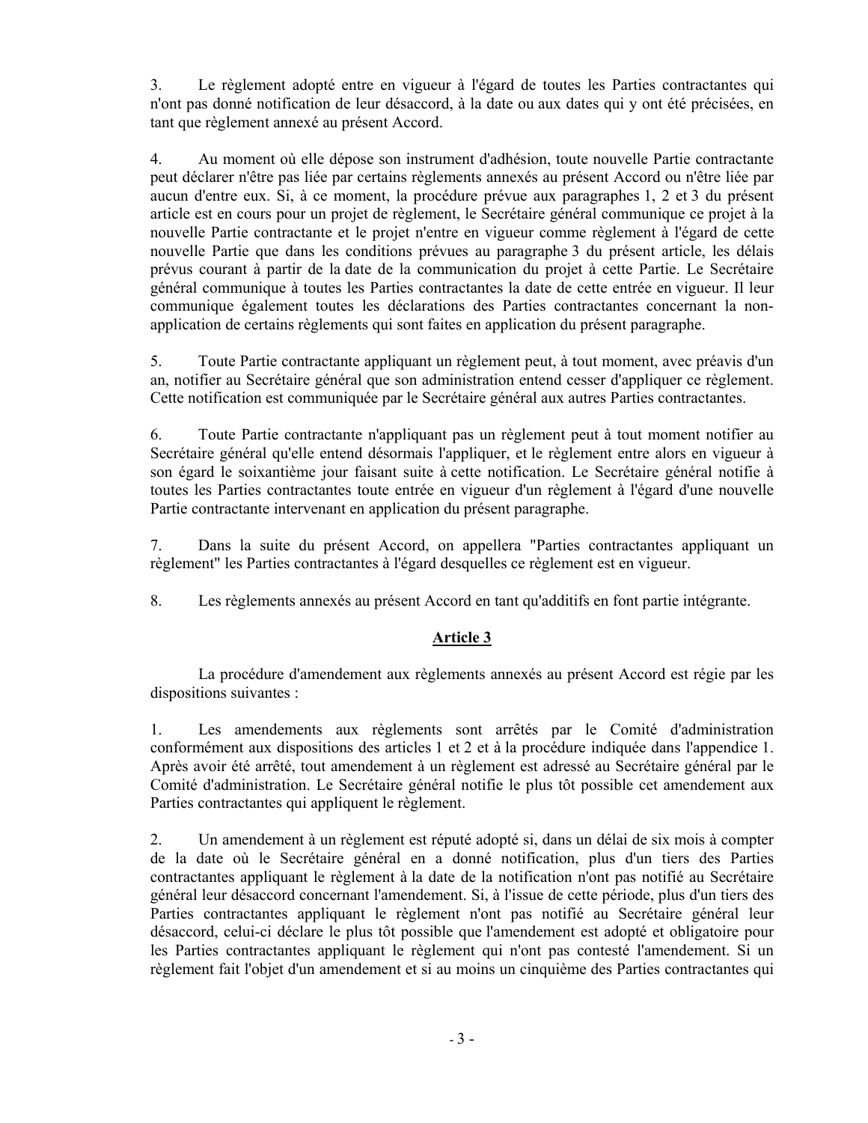3. Le règlement adopté entre en vigueur à l'égard de toutes les Parties contractantes qui n'ont pas donné notification de leur désaccord, à la date ou aux dates qui y ont été précisées, en tant que règlement annexé au présent Accord.

4. Au moment où elle dépose son instrument d'adhésion, toute nouvelle Partie contractante peut déclarer n'être pas liée par certains règlements annexés au présent Accord ou n'être liée par aucun d'entre eux. Si, à ce moment, la procédure prévue aux paragraphes 1, 2 et 3 du présent article est en cours pour un projet de règlement, le Secrétaire général communique ce projet à la nouvelle Partie contractante et le projet n'entre en vigueur comme règlement à l'égard de cette nouvelle Partie que dans les conditions prévues au paragraphe 3 du présent article, les délais prévus courant à partir de la date de la communication du projet à cette Partie. Le Secrétaire général communique à toutes les Parties contractantes la date de cette entrée en vigueur. Il leur communique également toutes les déclarations des Parties contractantes concernant la nonapplication de certains règlements qui sont faites en application du présent paragraphe.

5. Toute Partie contractante appliquant un règlement peut, à tout moment, avec préavis d'un an, notifier au Secrétaire général que son administration entend cesser d'appliquer ce règlement. Cette notification est communiquée par le Secrétaire général aux autres Parties contractantes.

6. Toute Partie contractante n'appliquant pas un règlement peut à tout moment notifier au Secrétaire général qu'elle entend désormais l'appliquer, et le règlement entre alors en vigueur à son égard le soixantième jour faisant suite à cette notification. Le Secrétaire général notifie à toutes les Parties contractantes toute entrée en vigueur d'un règlement à l'égard d'une nouvelle Partie contractante intervenant en application du présent paragraphe.

7. Dans la suite du présent Accord, on appellera "Parties contractantes appliquant un règlement" les Parties contractantes à l'égard desquelles ce règlement est en vigueur.

8. Les règlements annexés au présent Accord en tant qu'additifs en font partie intégrante.

# **Article 3**

La procédure d'amendement aux règlements annexés au présent Accord est régie par les dispositions suivantes :

1. Les amendements aux règlements sont arrêtés par le Comité d'administration conformément aux dispositions des articles 1 et 2 et à la procédure indiquée dans l'appendice 1. Après avoir été arrêté, tout amendement à un règlement est adressé au Secrétaire général par le Comité d'administration. Le Secrétaire général notifie le plus tôt possible cet amendement aux Parties contractantes qui appliquent le règlement.

2. Un amendement à un règlement est réputé adopté si, dans un délai de six mois à compter de la date où le Secrétaire général en a donné notification, plus d'un tiers des Parties contractantes appliquant le règlement à la date de la notification n'ont pas notifié au Secrétaire général leur désaccord concernant l'amendement. Si, à l'issue de cette période, plus d'un tiers des Parties contractantes appliquant le règlement n'ont pas notifié au Secrétaire général leur désaccord, celui-ci déclare le plus tôt possible que l'amendement est adopté et obligatoire pour les Parties contractantes appliquant le règlement qui n'ont pas contesté l'amendement. Si un règlement fait l'objet d'un amendement et si au moins un cinquième des Parties contractantes qui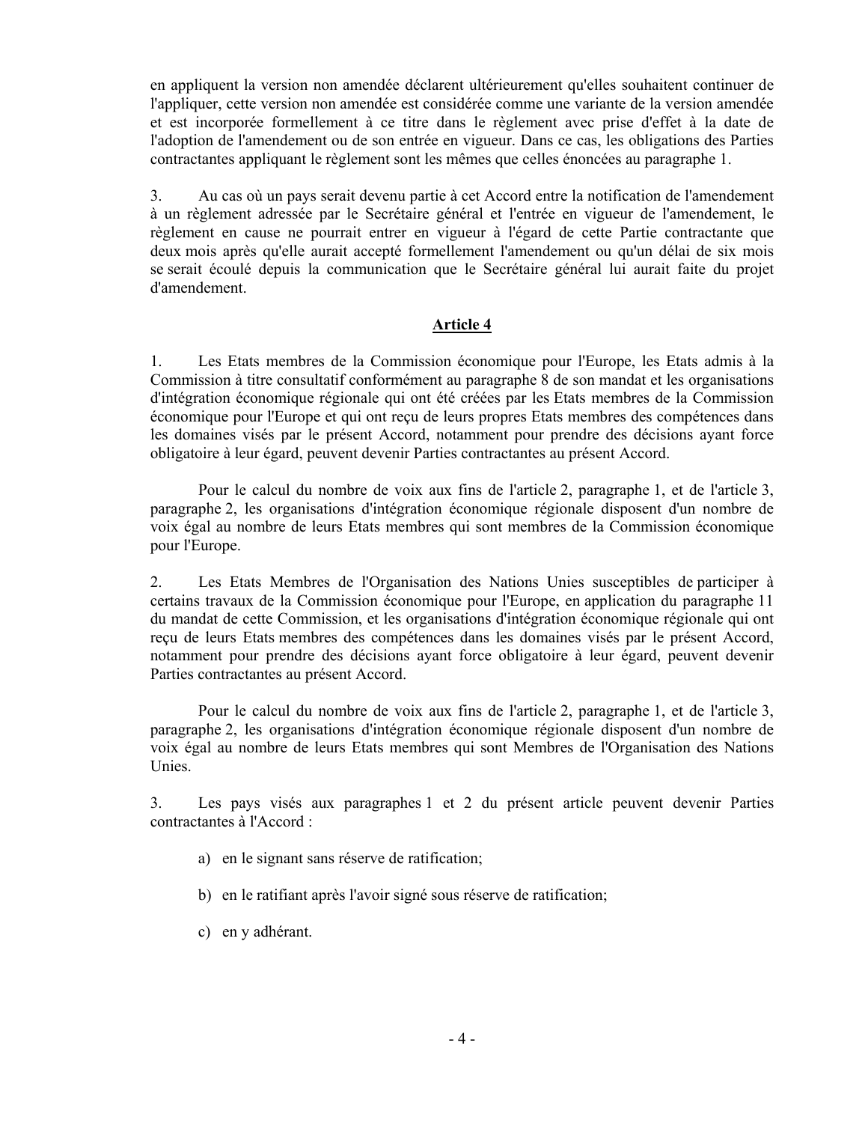en appliquent la version non amendée déclarent ultérieurement qu'elles souhaitent continuer de l'appliquer, cette version non amendée est considérée comme une variante de la version amendée et est incorporée formellement à ce titre dans le règlement avec prise d'effet à la date de l'adoption de l'amendement ou de son entrée en vigueur. Dans ce cas, les obligations des Parties contractantes appliquant le règlement sont les mêmes que celles énoncées au paragraphe 1.

3. Au cas où un pays serait devenu partie à cet Accord entre la notification de l'amendement à un règlement adressée par le Secrétaire général et l'entrée en vigueur de l'amendement, le règlement en cause ne pourrait entrer en vigueur à l'égard de cette Partie contractante que deux mois après qu'elle aurait accepté formellement l'amendement ou qu'un délai de six mois se serait écoulé depuis la communication que le Secrétaire général lui aurait faite du projet d'amendement.

### **Article 4**

1. Les Etats membres de la Commission économique pour l'Europe, les Etats admis à la Commission à titre consultatif conformément au paragraphe 8 de son mandat et les organisations d'intégration économique régionale qui ont été créées par les Etats membres de la Commission économique pour l'Europe et qui ont reçu de leurs propres Etats membres des compétences dans les domaines visés par le présent Accord, notamment pour prendre des décisions ayant force obligatoire à leur égard, peuvent devenir Parties contractantes au présent Accord.

Pour le calcul du nombre de voix aux fins de l'article 2, paragraphe 1, et de l'article 3, paragraphe 2, les organisations d'intégration économique régionale disposent d'un nombre de voix égal au nombre de leurs Etats membres qui sont membres de la Commission économique pour l'Europe.

2. Les Etats Membres de l'Organisation des Nations Unies susceptibles de participer à certains travaux de la Commission économique pour l'Europe, en application du paragraphe 11 du mandat de cette Commission, et les organisations d'intégration économique régionale qui ont reçu de leurs Etats membres des compétences dans les domaines visés par le présent Accord, notamment pour prendre des décisions ayant force obligatoire à leur égard, peuvent devenir Parties contractantes au présent Accord.

Pour le calcul du nombre de voix aux fins de l'article 2, paragraphe 1, et de l'article 3, paragraphe 2, les organisations d'intégration économique régionale disposent d'un nombre de voix égal au nombre de leurs Etats membres qui sont Membres de l'Organisation des Nations Unies.

3. Les pays visés aux paragraphes 1 et 2 du présent article peuvent devenir Parties contractantes à l'Accord :

- a) en le signant sans réserve de ratification;
- b) en le ratifiant après l'avoir signé sous réserve de ratification;
- c) en y adhérant.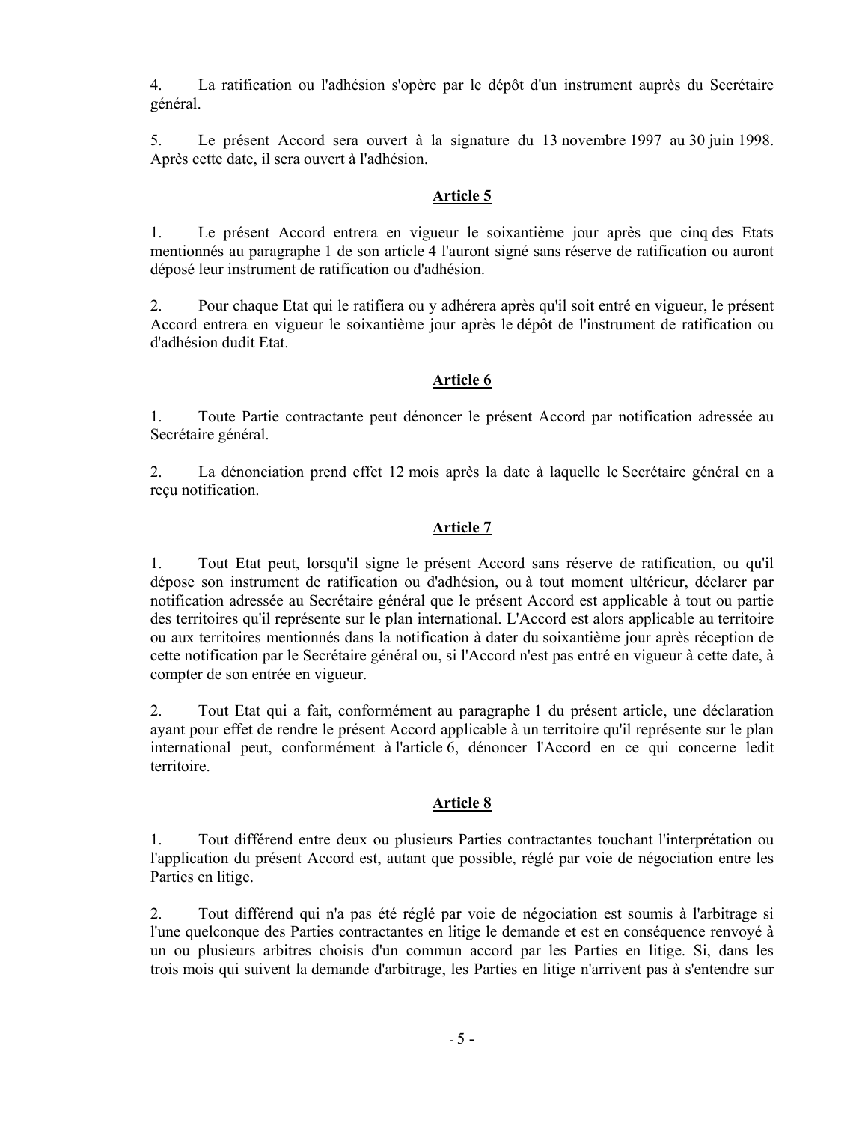4. La ratification ou l'adhésion s'opère par le dépôt d'un instrument auprès du Secrétaire général.

5. Le présent Accord sera ouvert à la signature du 13 novembre 1997 au 30 juin 1998. Après cette date, il sera ouvert à l'adhésion.

# **Article 5**

1. Le présent Accord entrera en vigueur le soixantième jour après que cinq des Etats mentionnés au paragraphe 1 de son article 4 l'auront signé sans réserve de ratification ou auront déposé leur instrument de ratification ou d'adhésion.

2. Pour chaque Etat qui le ratifiera ou y adhérera après qu'il soit entré en vigueur, le présent Accord entrera en vigueur le soixantième jour après le dépôt de l'instrument de ratification ou d'adhésion dudit Etat.

# **Article 6**

1. Toute Partie contractante peut dénoncer le présent Accord par notification adressée au Secrétaire général.

2. La dénonciation prend effet 12 mois après la date à laquelle le Secrétaire général en a reçu notification.

# **Article 7**

1. Tout Etat peut, lorsqu'il signe le présent Accord sans réserve de ratification, ou qu'il dépose son instrument de ratification ou d'adhésion, ou à tout moment ultérieur, déclarer par notification adressée au Secrétaire général que le présent Accord est applicable à tout ou partie des territoires qu'il représente sur le plan international. L'Accord est alors applicable au territoire ou aux territoires mentionnés dans la notification à dater du soixantième jour après réception de cette notification par le Secrétaire général ou, si l'Accord n'est pas entré en vigueur à cette date, à compter de son entrée en vigueur.

2. Tout Etat qui a fait, conformément au paragraphe 1 du présent article, une déclaration ayant pour effet de rendre le présent Accord applicable à un territoire qu'il représente sur le plan international peut, conformément à l'article 6, dénoncer l'Accord en ce qui concerne ledit territoire.

# **Article 8**

1. Tout différend entre deux ou plusieurs Parties contractantes touchant l'interprétation ou l'application du présent Accord est, autant que possible, réglé par voie de négociation entre les Parties en litige.

2. Tout différend qui n'a pas été réglé par voie de négociation est soumis à l'arbitrage si l'une quelconque des Parties contractantes en litige le demande et est en conséquence renvoyé à un ou plusieurs arbitres choisis d'un commun accord par les Parties en litige. Si, dans les trois mois qui suivent la demande d'arbitrage, les Parties en litige n'arrivent pas à s'entendre sur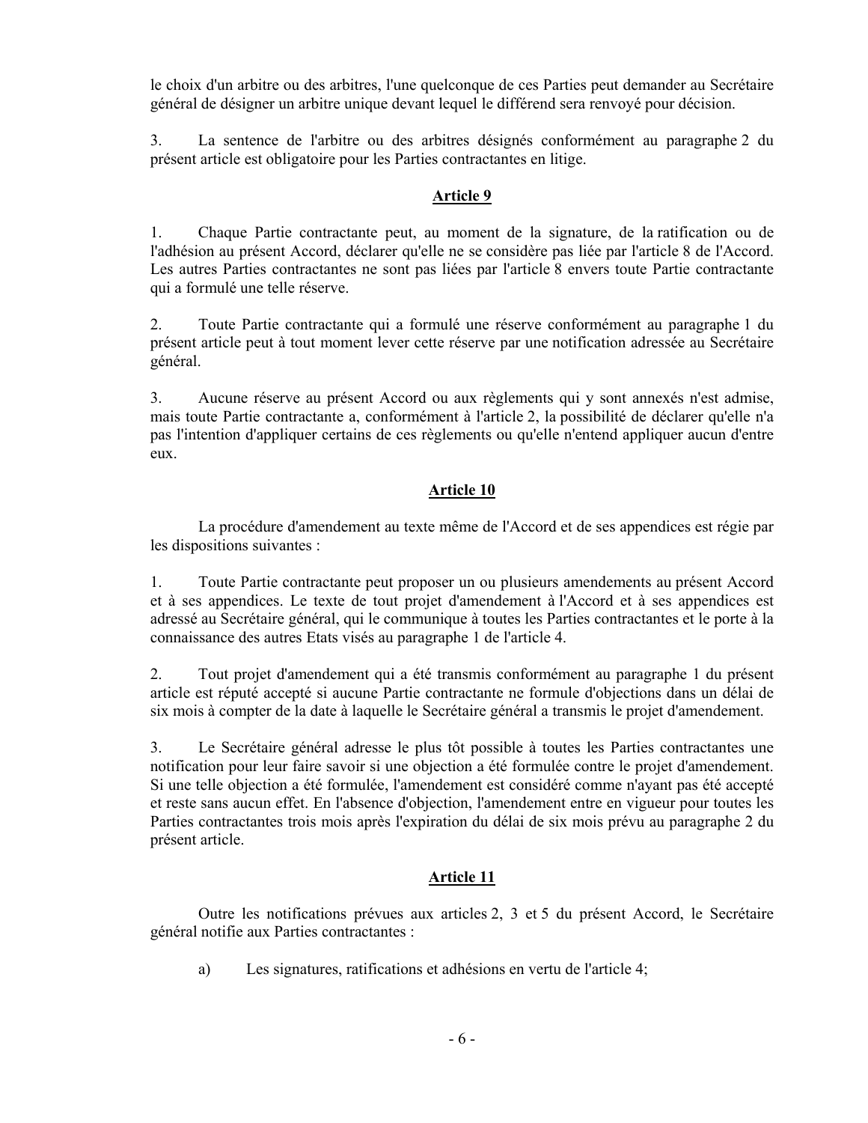le choix d'un arbitre ou des arbitres, l'une quelconque de ces Parties peut demander au Secrétaire général de désigner un arbitre unique devant lequel le différend sera renvoyé pour décision.

3. La sentence de l'arbitre ou des arbitres désignés conformément au paragraphe 2 du présent article est obligatoire pour les Parties contractantes en litige.

# **Article 9**

1. Chaque Partie contractante peut, au moment de la signature, de la ratification ou de l'adhésion au présent Accord, déclarer qu'elle ne se considère pas liée par l'article 8 de l'Accord. Les autres Parties contractantes ne sont pas liées par l'article 8 envers toute Partie contractante qui a formulé une telle réserve.

2. Toute Partie contractante qui a formulé une réserve conformément au paragraphe 1 du présent article peut à tout moment lever cette réserve par une notification adressée au Secrétaire général.

3. Aucune réserve au présent Accord ou aux règlements qui y sont annexés n'est admise, mais toute Partie contractante a, conformément à l'article 2, la possibilité de déclarer qu'elle n'a pas l'intention d'appliquer certains de ces règlements ou qu'elle n'entend appliquer aucun d'entre eux.

# **Article 10**

La procédure d'amendement au texte même de l'Accord et de ses appendices est régie par les dispositions suivantes :

1. Toute Partie contractante peut proposer un ou plusieurs amendements au présent Accord et à ses appendices. Le texte de tout projet d'amendement à l'Accord et à ses appendices est adressé au Secrétaire général, qui le communique à toutes les Parties contractantes et le porte à la connaissance des autres Etats visés au paragraphe 1 de l'article 4.

2. Tout projet d'amendement qui a été transmis conformément au paragraphe 1 du présent article est réputé accepté si aucune Partie contractante ne formule d'objections dans un délai de six mois à compter de la date à laquelle le Secrétaire général a transmis le projet d'amendement.

3. Le Secrétaire général adresse le plus tôt possible à toutes les Parties contractantes une notification pour leur faire savoir si une objection a été formulée contre le projet d'amendement. Si une telle objection a été formulée, l'amendement est considéré comme n'ayant pas été accepté et reste sans aucun effet. En l'absence d'objection, l'amendement entre en vigueur pour toutes les Parties contractantes trois mois après l'expiration du délai de six mois prévu au paragraphe 2 du présent article.

# **Article 11**

Outre les notifications prévues aux articles 2, 3 et 5 du présent Accord, le Secrétaire général notifie aux Parties contractantes :

a) Les signatures, ratifications et adhésions en vertu de l'article 4;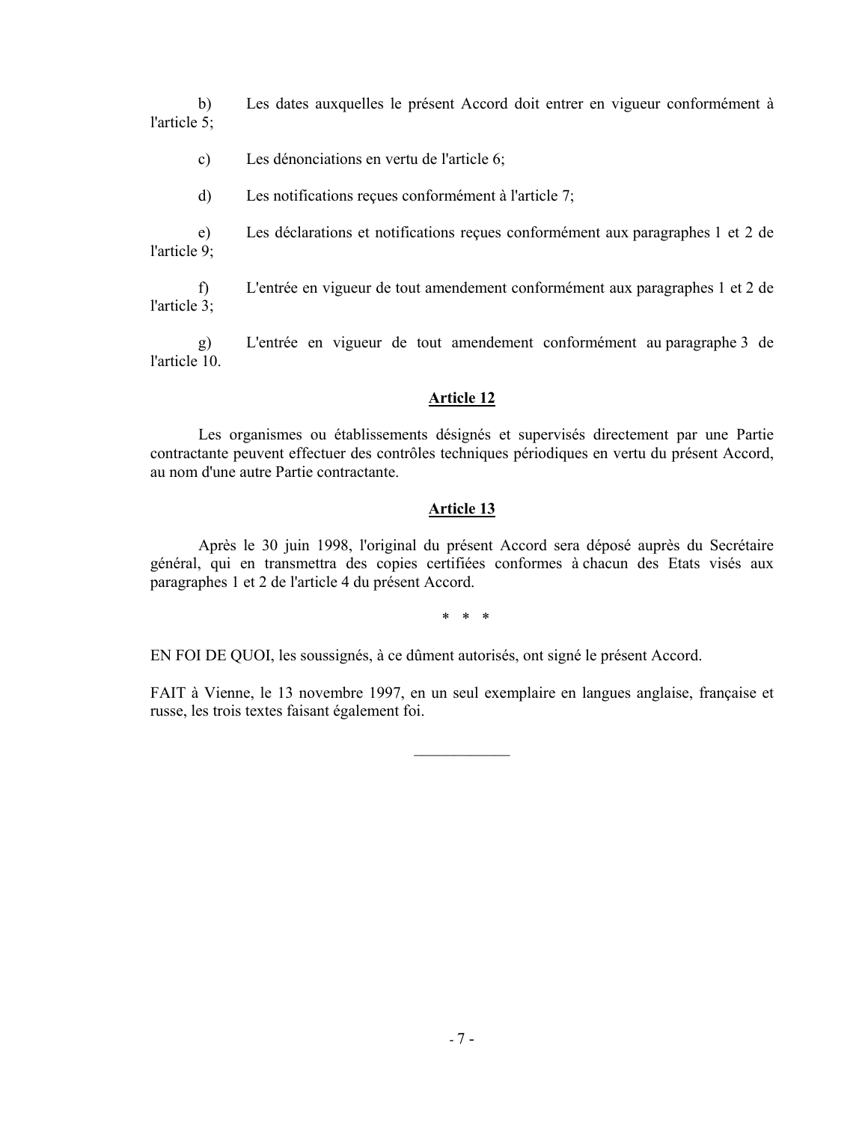b) Les dates auxquelles le présent Accord doit entrer en vigueur conformément à l'article 5;

- c) Les dénonciations en vertu de l'article 6;
- d) Les notifications reçues conformément à l'article 7;

e) Les déclarations et notifications reçues conformément aux paragraphes 1 et 2 de l'article 9;

f) L'entrée en vigueur de tout amendement conformément aux paragraphes 1 et 2 de l'article 3;

g) L'entrée en vigueur de tout amendement conformément au paragraphe 3 de l'article 10.

## **Article 12**

Les organismes ou établissements désignés et supervisés directement par une Partie contractante peuvent effectuer des contrôles techniques périodiques en vertu du présent Accord, au nom d'une autre Partie contractante.

### **Article 13**

Après le 30 juin 1998, l'original du présent Accord sera déposé auprès du Secrétaire général, qui en transmettra des copies certifiées conformes à chacun des Etats visés aux paragraphes 1 et 2 de l'article 4 du présent Accord.

 $*$   $*$   $*$   $*$ 

EN FOI DE QUOI, les soussignés, à ce dûment autorisés, ont signé le présent Accord.

FAIT à Vienne, le 13 novembre 1997, en un seul exemplaire en langues anglaise, française et russe, les trois textes faisant également foi.

 $\frac{1}{2}$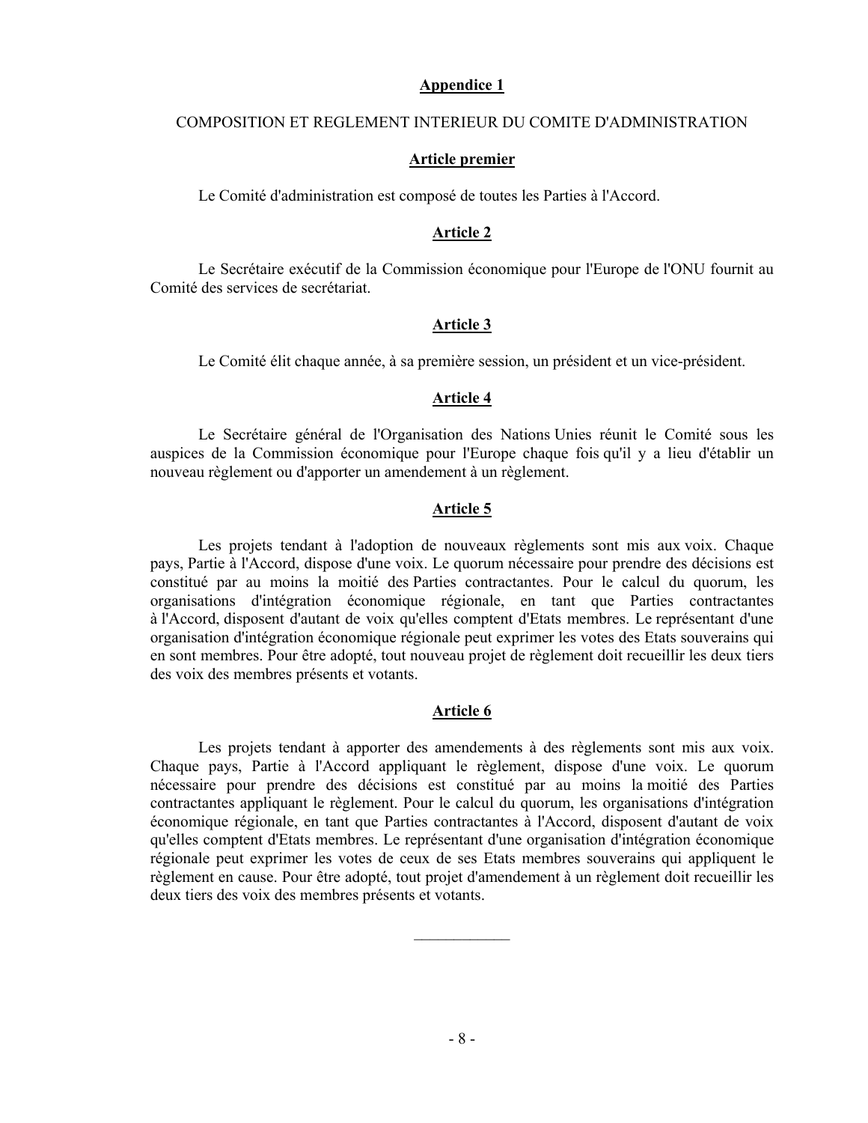#### **Appendice 1**

#### COMPOSITION ET REGLEMENT INTERIEUR DU COMITE D'ADMINISTRATION

#### **Article premier**

Le Comité d'administration est composé de toutes les Parties à l'Accord.

## **Article 2**

Le Secrétaire exécutif de la Commission économique pour l'Europe de l'ONU fournit au Comité des services de secrétariat.

### **Article 3**

Le Comité élit chaque année, à sa première session, un président et un vice-président.

# **Article 4**

Le Secrétaire général de l'Organisation des Nations Unies réunit le Comité sous les auspices de la Commission économique pour l'Europe chaque fois qu'il y a lieu d'établir un nouveau règlement ou d'apporter un amendement à un règlement.

### **Article 5**

Les projets tendant à l'adoption de nouveaux règlements sont mis aux voix. Chaque pays, Partie à l'Accord, dispose d'une voix. Le quorum nécessaire pour prendre des décisions est constitué par au moins la moitié des Parties contractantes. Pour le calcul du quorum, les organisations d'intégration économique régionale, en tant que Parties contractantes à l'Accord, disposent d'autant de voix qu'elles comptent d'Etats membres. Le représentant d'une organisation d'intégration économique régionale peut exprimer les votes des Etats souverains qui en sont membres. Pour être adopté, tout nouveau projet de règlement doit recueillir les deux tiers des voix des membres présents et votants.

#### **Article 6**

Les projets tendant à apporter des amendements à des règlements sont mis aux voix. Chaque pays, Partie à l'Accord appliquant le règlement, dispose d'une voix. Le quorum nécessaire pour prendre des décisions est constitué par au moins la moitié des Parties contractantes appliquant le règlement. Pour le calcul du quorum, les organisations d'intégration économique régionale, en tant que Parties contractantes à l'Accord, disposent d'autant de voix qu'elles comptent d'Etats membres. Le représentant d'une organisation d'intégration économique régionale peut exprimer les votes de ceux de ses Etats membres souverains qui appliquent le règlement en cause. Pour être adopté, tout projet d'amendement à un règlement doit recueillir les deux tiers des voix des membres présents et votants.

 $\mathcal{L}_\text{max}$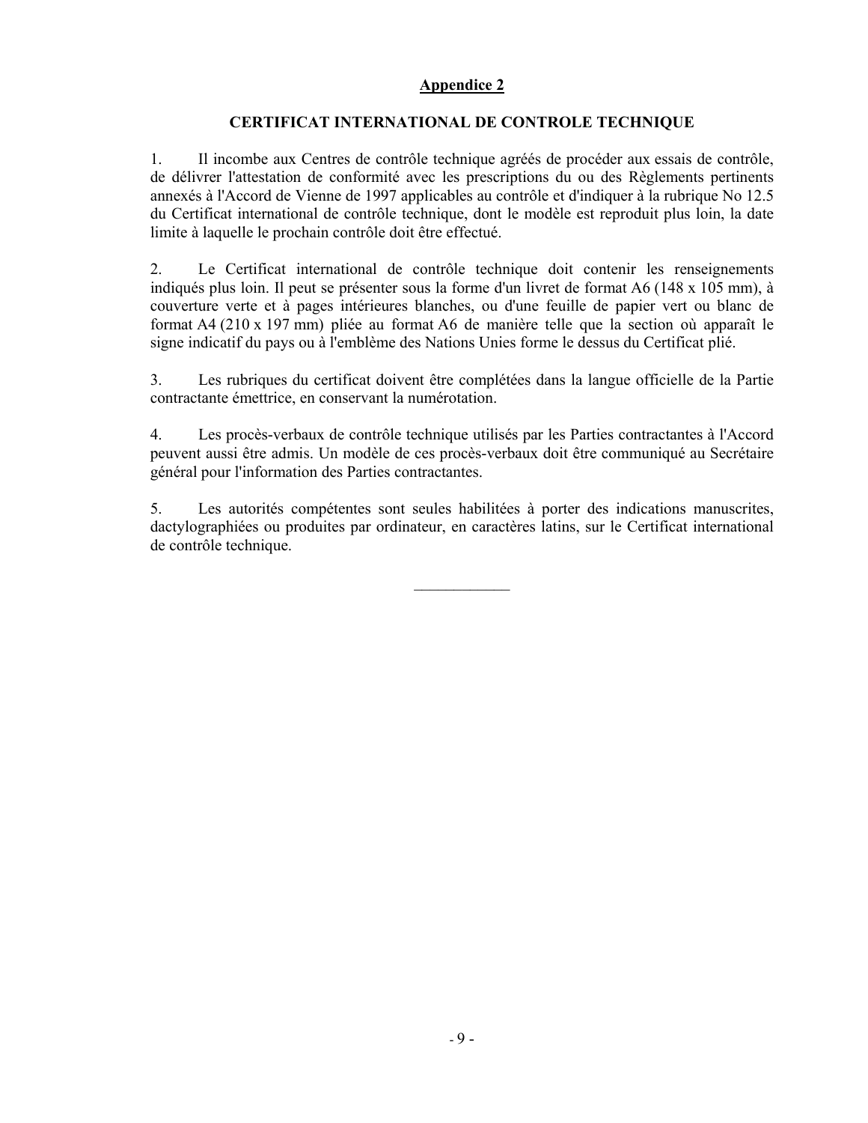# **Appendice 2**

# **CERTIFICAT INTERNATIONAL DE CONTROLE TECHNIQUE**

1. Il incombe aux Centres de contrôle technique agréés de procéder aux essais de contrôle, de délivrer l'attestation de conformité avec les prescriptions du ou des Règlements pertinents annexés à l'Accord de Vienne de 1997 applicables au contrôle et d'indiquer à la rubrique No 12.5 du Certificat international de contrôle technique, dont le modèle est reproduit plus loin, la date limite à laquelle le prochain contrôle doit être effectué.

2. Le Certificat international de contrôle technique doit contenir les renseignements indiqués plus loin. Il peut se présenter sous la forme d'un livret de format A6 (148 x 105 mm), à couverture verte et à pages intérieures blanches, ou d'une feuille de papier vert ou blanc de format A4 (210 x 197 mm) pliée au format A6 de manière telle que la section où apparaît le signe indicatif du pays ou à l'emblème des Nations Unies forme le dessus du Certificat plié.

3. Les rubriques du certificat doivent être complétées dans la langue officielle de la Partie contractante émettrice, en conservant la numérotation.

4. Les procès-verbaux de contrôle technique utilisés par les Parties contractantes à l'Accord peuvent aussi être admis. Un modèle de ces procès-verbaux doit être communiqué au Secrétaire général pour l'information des Parties contractantes.

5. Les autorités compétentes sont seules habilitées à porter des indications manuscrites, dactylographiées ou produites par ordinateur, en caractères latins, sur le Certificat international de contrôle technique.

 $\mathcal{L}_\text{max}$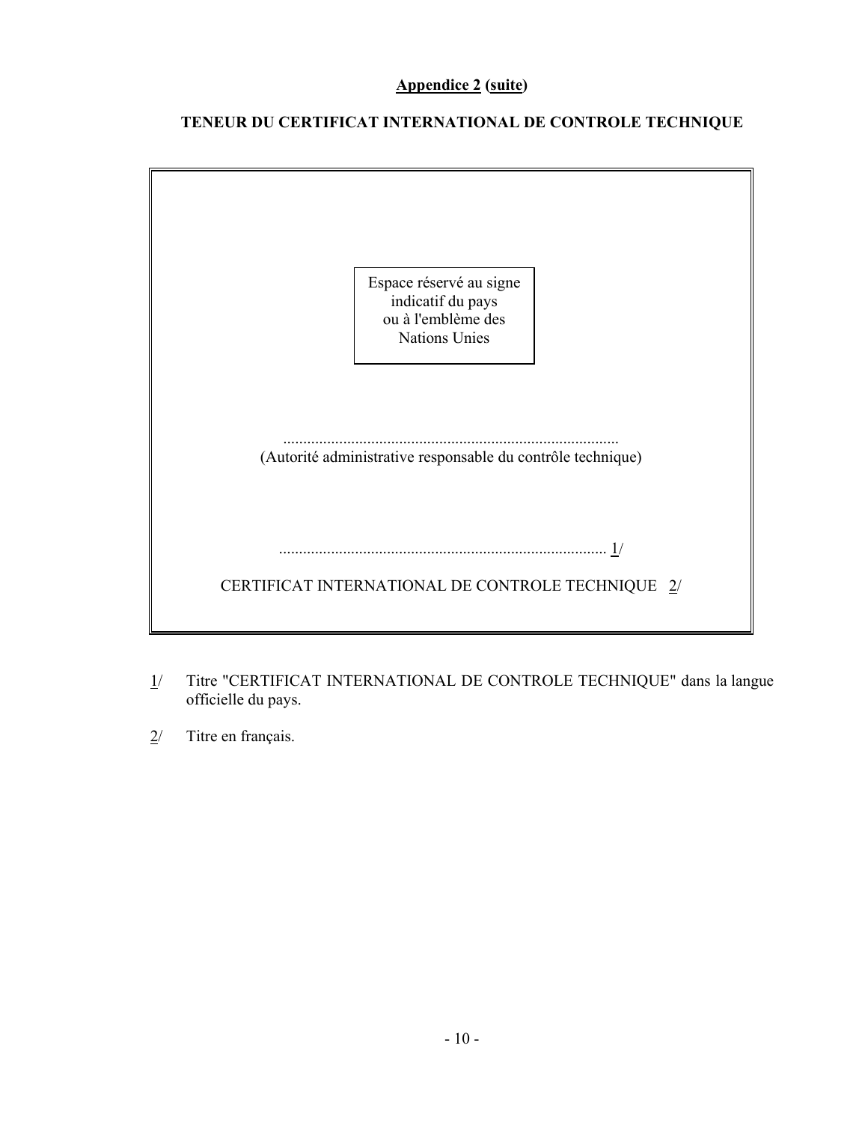# **Appendice 2 (suite)**

# **TENEUR DU CERTIFICAT INTERNATIONAL DE CONTROLE TECHNIQUE**

| Espace réservé au signe<br>indicatif du pays<br>ou à l'emblème des<br>Nations Unies |
|-------------------------------------------------------------------------------------|
| (Autorité administrative responsable du contrôle technique)                         |
| CERTIFICAT INTERNATIONAL DE CONTROLE TECHNIQUE 2/                                   |

- 1/ Titre "CERTIFICAT INTERNATIONAL DE CONTROLE TECHNIQUE" dans la langue officielle du pays.
- 2/ Titre en français.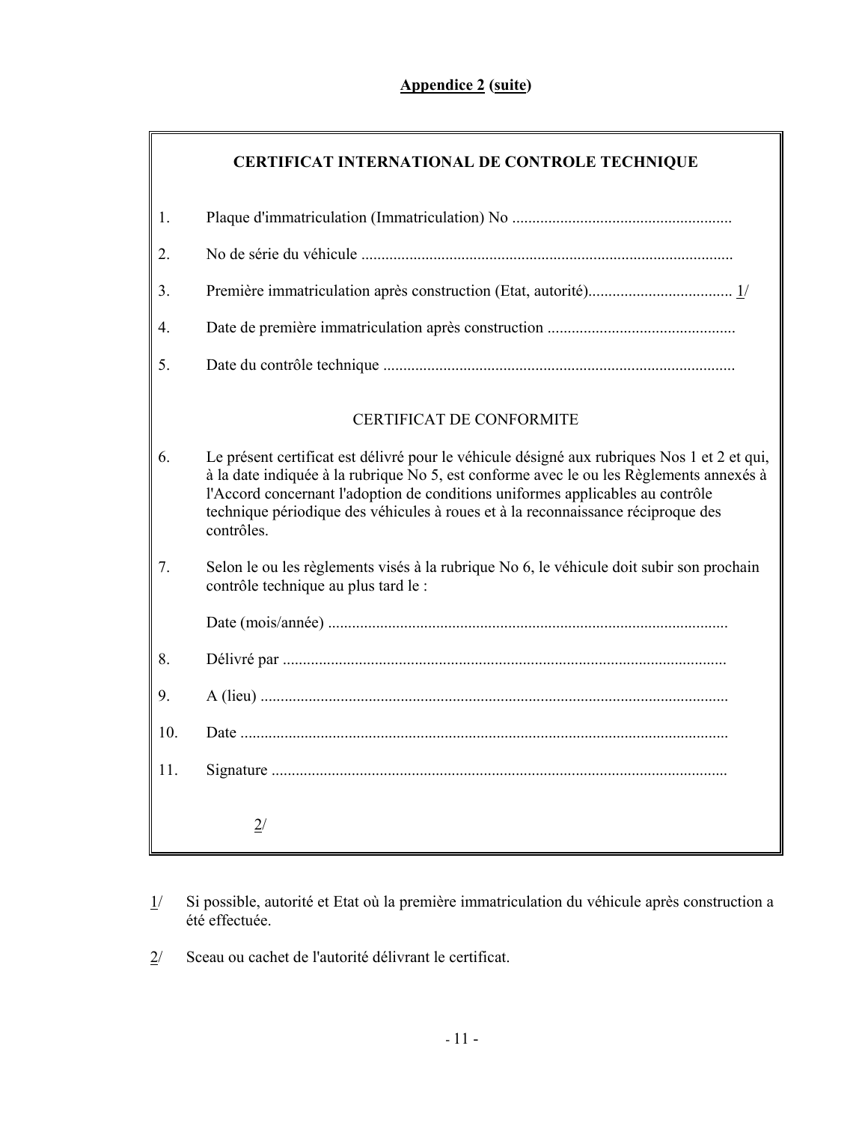# **Appendice 2 (suite)**

|     | <b>CERTIFICAT INTERNATIONAL DE CONTROLE TECHNIQUE</b>                                                                                                                                                                                                                                                                                                                      |
|-----|----------------------------------------------------------------------------------------------------------------------------------------------------------------------------------------------------------------------------------------------------------------------------------------------------------------------------------------------------------------------------|
| 1.  |                                                                                                                                                                                                                                                                                                                                                                            |
| 2.  |                                                                                                                                                                                                                                                                                                                                                                            |
| 3.  |                                                                                                                                                                                                                                                                                                                                                                            |
| 4.  |                                                                                                                                                                                                                                                                                                                                                                            |
| 5.  |                                                                                                                                                                                                                                                                                                                                                                            |
|     | <b>CERTIFICAT DE CONFORMITE</b>                                                                                                                                                                                                                                                                                                                                            |
| 6.  | Le présent certificat est délivré pour le véhicule désigné aux rubriques Nos 1 et 2 et qui,<br>à la date indiquée à la rubrique No 5, est conforme avec le ou les Règlements annexés à<br>l'Accord concernant l'adoption de conditions uniformes applicables au contrôle<br>technique périodique des véhicules à roues et à la reconnaissance réciproque des<br>contrôles. |
| 7.  | Selon le ou les règlements visés à la rubrique No 6, le véhicule doit subir son prochain<br>contrôle technique au plus tard le :                                                                                                                                                                                                                                           |
|     |                                                                                                                                                                                                                                                                                                                                                                            |
| 8.  |                                                                                                                                                                                                                                                                                                                                                                            |
| 9.  |                                                                                                                                                                                                                                                                                                                                                                            |
| 10. |                                                                                                                                                                                                                                                                                                                                                                            |
| 11. |                                                                                                                                                                                                                                                                                                                                                                            |
|     | 2/                                                                                                                                                                                                                                                                                                                                                                         |

- 1/ Si possible, autorité et Etat où la première immatriculation du véhicule après construction a été effectuée.
- 2/ Sceau ou cachet de l'autorité délivrant le certificat.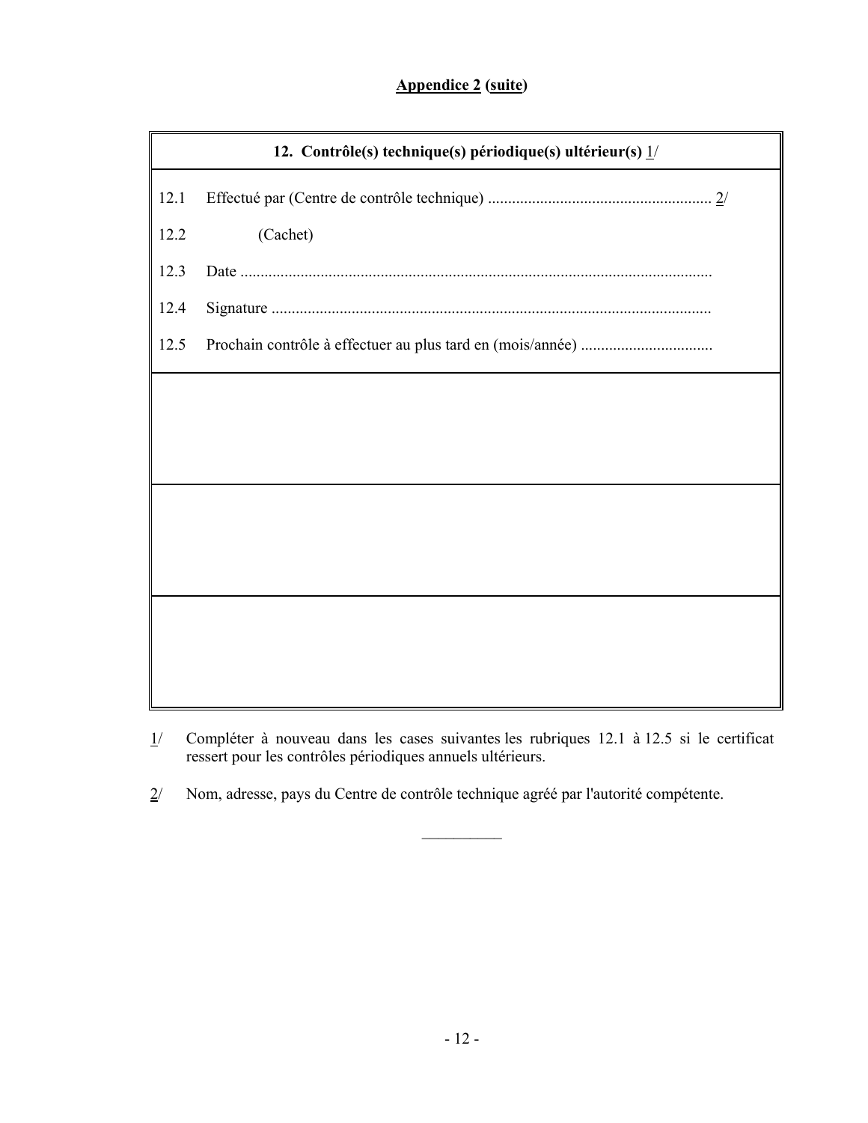# **Appendice 2 (suite)**

|      | 12. Contrôle(s) technique(s) périodique(s) ultérieur(s) $1/$ |
|------|--------------------------------------------------------------|
| 12.1 |                                                              |
| 12.2 | (Cachet)                                                     |
| 12.3 |                                                              |
| 12.4 |                                                              |
| 12.5 |                                                              |
|      |                                                              |
|      |                                                              |
|      |                                                              |
|      |                                                              |
|      |                                                              |
|      |                                                              |
|      |                                                              |
|      |                                                              |
|      |                                                              |

1/ Compléter à nouveau dans les cases suivantes les rubriques 12.1 à 12.5 si le certificat ressert pour les contrôles périodiques annuels ultérieurs.

 $\mathcal{L}_\text{max}$ 

2/ Nom, adresse, pays du Centre de contrôle technique agréé par l'autorité compétente.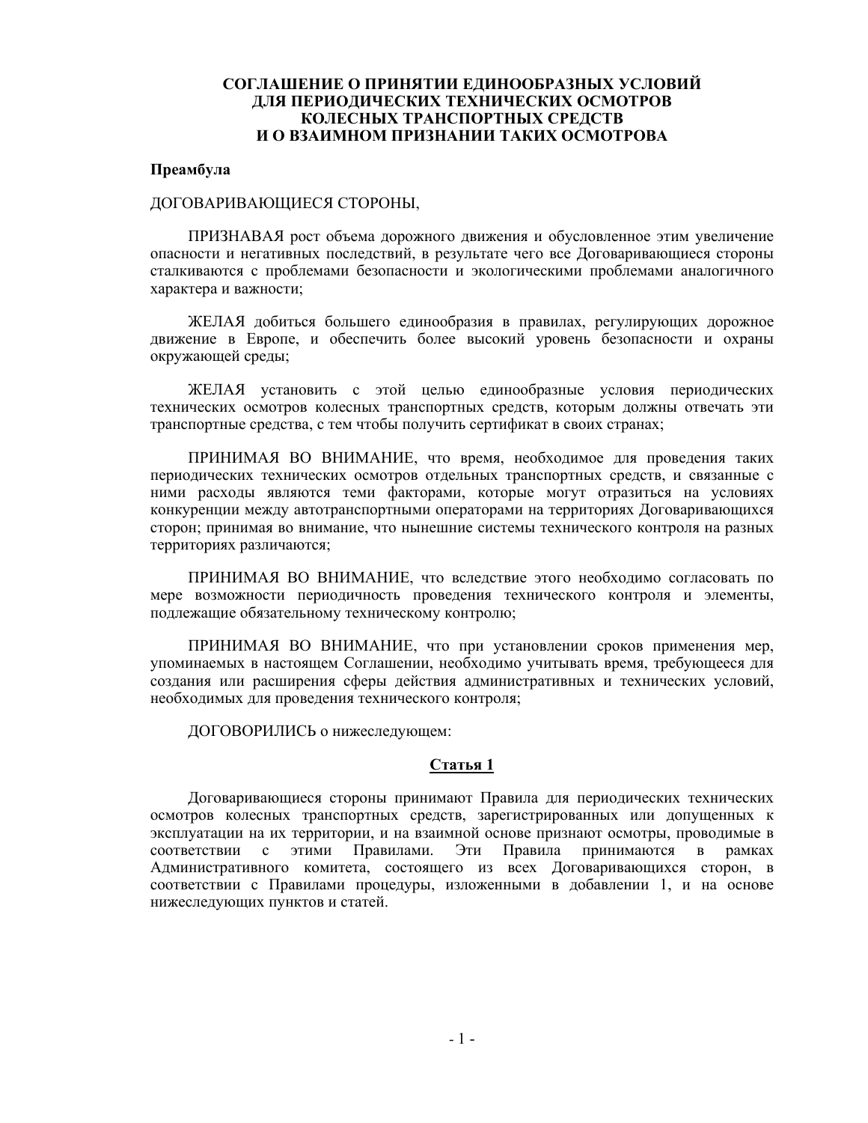### **СОГЛАШЕНИЕ О ПРИНЯТИИ ЕДИНООБРАЗНЫХ УСЛОВИЙ ДЛЯ ПЕРИОДИЧЕСКИХ ТЕХНИЧЕСКИХ ОСМОТРОВ КОЛЕСНЫХ ТРАНСПОРТНЫХ СРЕДСТВ И О ВЗАИМНОМ ПРИЗНАНИИ ТАКИХ ОСМОТРОВА**

#### **Преамбула**

#### ДОГОВАРИВАЮЩИЕСЯ СТОРОНЫ,

ПРИЗНАВАЯ рост объема дорожного движения и обусловленное этим увеличение опасности и негативных последствий, в результате чего все Договаривающиеся стороны сталкиваются с проблемами безопасности и экологическими проблемами аналогичного характера и важности;

ЖЕЛАЯ добиться большего единообразия в правилах, регулирующих дорожное движение в Европе, и обеспечить более высокий уровень безопасности и охраны окружающей среды;

ЖЕЛАЯ установить с этой целью единообразные условия периодических технических осмотров колесных транспортных средств, которым должны отвечать эти транспортные средства, с тем чтобы получить сертификат в своих странах;

ПРИНИМАЯ ВО ВНИМАНИЕ, что время, необходимое для проведения таких периодических технических осмотров отдельных транспортных средств, и связанные с ними расходы являются теми факторами, которые могут отразиться на условиях конкуренции между автотранспортными операторами на территориях Договаривающихся сторон; принимая во внимание, что нынешние системы технического контроля на разных территориях различаются;

ПРИНИМАЯ ВО ВНИМАНИЕ, что вследствие этого необходимо согласовать по мере возможности периодичность проведения технического контроля и элементы, подлежащие обязательному техническому контролю;

ПРИНИМАЯ ВО ВНИМАНИЕ, что при установлении сроков применения мер, упоминаемых в настоящем Соглашении, необходимо учитывать время, требующееся для создания или расширения сферы действия административных и технических условий, необходимых для проведения технического контроля;

ДОГОВОРИЛИСЬ о нижеследующем:

# **Статья 1**

Договаривающиеся стороны принимают Правила для периодических технических осмотров колесных транспортных средств, зарегистрированных или допущенных к эксплуатации на их территории, и на взаимной основе признают осмотры, проводимые в соответствии с этими Правилами. Эти Правила принимаются в рамках Административного комитета, состоящего из всех Договаривающихся сторон, в соответствии с Правилами процедуры, изложенными в добавлении 1, и на основе нижеследующих пунктов и статей.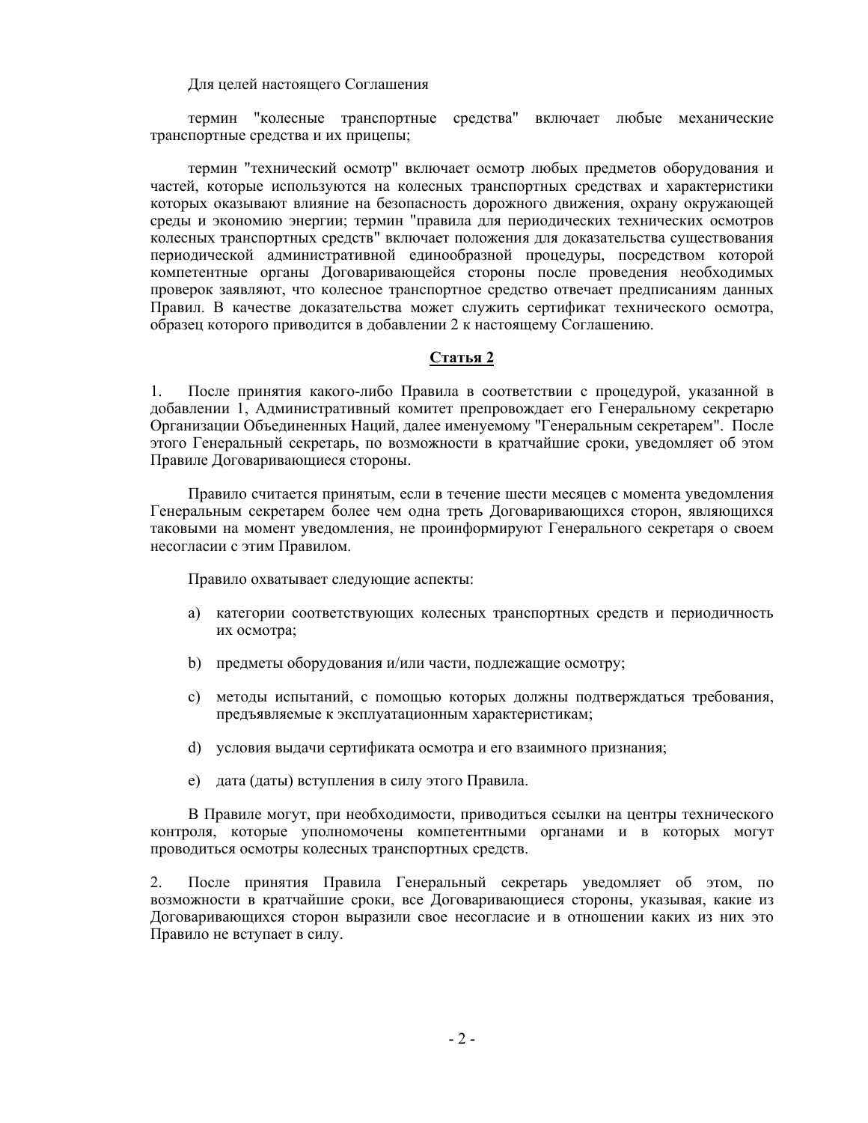### Для целей настоящего Соглашения

термин "колесные транспортные средства" включает любые механические транспортные средства и их прицепы;

термин "технический осмотр" включает осмотр любых предметов оборудования и частей, которые используются на колесных транспортных средствах и характеристики которых оказывают влияние на безопасность дорожного движения, охрану окружающей среды и экономию энергии; термин "правила для периодических технических осмотров колесных транспортных средств" включает положения для доказательства существования периодической административной единообразной процедуры, посредством которой компетентные органы Договаривающейся стороны после проведения необходимых проверок заявляют, что колесное транспортное средство отвечает предписаниям данных Правил. В качестве доказательства может служить сертификат технического осмотра, образец которого приводится в добавлении 2 к настоящему Соглашению.

#### **Статья 2**

1. После принятия какого-либо Правила в соответствии с процедурой, указанной в добавлении 1, Административный комитет препровождает его Генеральному секретарю Организации Объединенных Наций, далее именуемому "Генеральным секретарем". После этого Генеральный секретарь, по возможности в кратчайшие сроки, уведомляет об этом Правиле Договаривающиеся стороны.

Правило считается принятым, если в течение шести месяцев с момента уведомления Генеральным секретарем более чем одна треть Договаривающихся сторон, являющихся таковыми на момент уведомления, не проинформируют Генерального секретаря о своем несогласии с этим Правилом.

Правило охватывает следующие аспекты:

- а) категории соответствующих колесных транспортных средств и периодичность их осмотра;
- b) предметы оборудования и/или части, подлежащие осмотру;
- c) методы испытаний, с помощью которых должны подтверждаться требования, предъявляемые к эксплуатационным характеристикам;
- d) условия выдачи сертификата осмотра и его взаимного признания;
- e) дата (даты) вступления в силу этого Правила.

В Правиле могут, при необходимости, приводиться ссылки на центры технического контроля, которые уполномочены компетентными органами и в которых могут проводиться осмотры колесных транспортных средств.

2. После принятия Правила Генеральный секретарь уведомляет об этом, по возможности в кратчайшие сроки, все Договаривающиеся стороны, указывая, какие из Договаривающихся сторон выразили свое несогласие и в отношении каких из них это Правило не вступает в силу.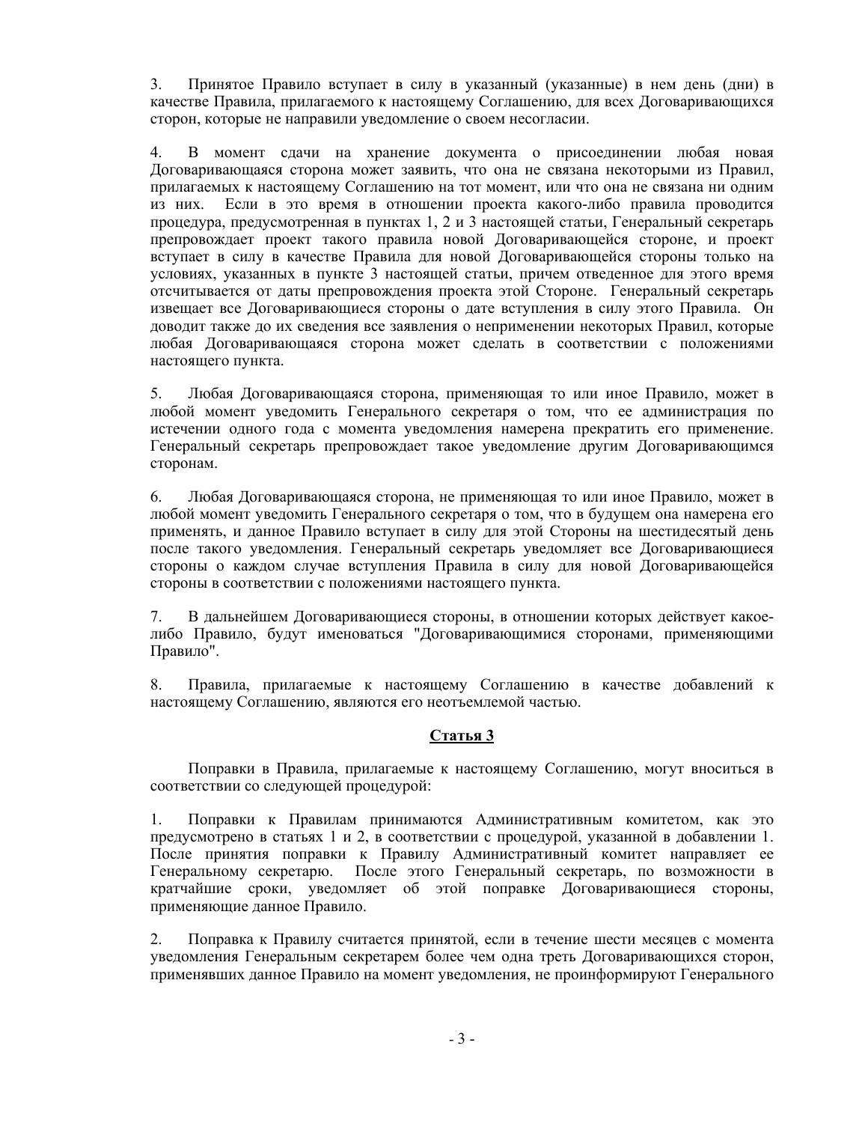3. Принятое Правило вступает в силу в указанный (указанные) в нем день (дни) в качестве Правила, прилагаемого к настоящему Соглашению, для всех Договаривающихся сторон, которые не направили уведомление о своем несогласии.

4. В момент сдачи на хранение документа о присоединении любая новая Договаривающаяся сторона может заявить, что она не связана некоторыми из Правил, прилагаемых к настоящему Соглашению на тот момент, или что она не связана ни одним из них. Если в это время в отношении проекта какого-либо правила проводится процедура, предусмотренная в пунктах 1, 2 и 3 настоящей статьи, Генеральный секретарь препровождает проект такого правила новой Договаривающейся стороне, и проект вступает в силу в качестве Правила для новой Договаривающейся стороны только на условиях, указанных в пункте 3 настоящей статьи, причем отведенное для этого время отсчитывается от даты препровождения проекта этой Стороне. Генеральный секретарь извещает все Договаривающиеся стороны о дате вступления в силу этого Правила. Он доводит также до их сведения все заявления о неприменении некоторых Правил, которые любая Договаривающаяся сторона может сделать в соответствии с положениями настоящего пункта.

5. Любая Договаривающаяся сторона, применяющая то или иное Правило, может в любой момент уведомить Генерального секретаря о том, что ее администрация по истечении одного года с момента уведомления намерена прекратить его применение. Генеральный секретарь препровождает такое уведомление другим Договаривающимся сторонам.

6. Любая Договаривающаяся сторона, не применяющая то или иное Правило, может в любой момент уведомить Генерального секретаря о том, что в будущем она намерена его применять, и данное Правило вступает в силу для этой Стороны на шестидесятый день после такого уведомления. Генеральный секретарь уведомляет все Договаривающиеся стороны о каждом случае вступления Правила в силу для новой Договаривающейся стороны в соответствии с положениями настоящего пункта.

7. В дальнейшем Договаривающиеся стороны, в отношении которых действует какоелибо Правило, будут именоваться "Договаривающимися сторонами, применяющими Правило".

8. Правила, прилагаемые к настоящему Соглашению в качестве добавлений к настоящему Соглашению, являются его неотъемлемой частью.

# **Статья 3**

Поправки в Правила, прилагаемые к настоящему Соглашению, могут вноситься в соответствии со следующей процедурой:

1. Поправки к Правилам принимаются Административным комитетом, как это предусмотрено в статьях 1 и 2, в соответствии с процедурой, указанной в добавлении 1. После принятия поправки к Правилу Административный комитет направляет ее Генеральному секретарю. После этого Генеральный секретарь, по возможности в кратчайшие сроки, уведомляет об этой поправке Договаривающиеся стороны, применяющие данное Правило.

2. Поправка к Правилу считается принятой, если в течение шести месяцев с момента уведомления Генеральным секретарем более чем одна треть Договаривающихся сторон, применявших данное Правило на момент уведомления, не проинформируют Генерального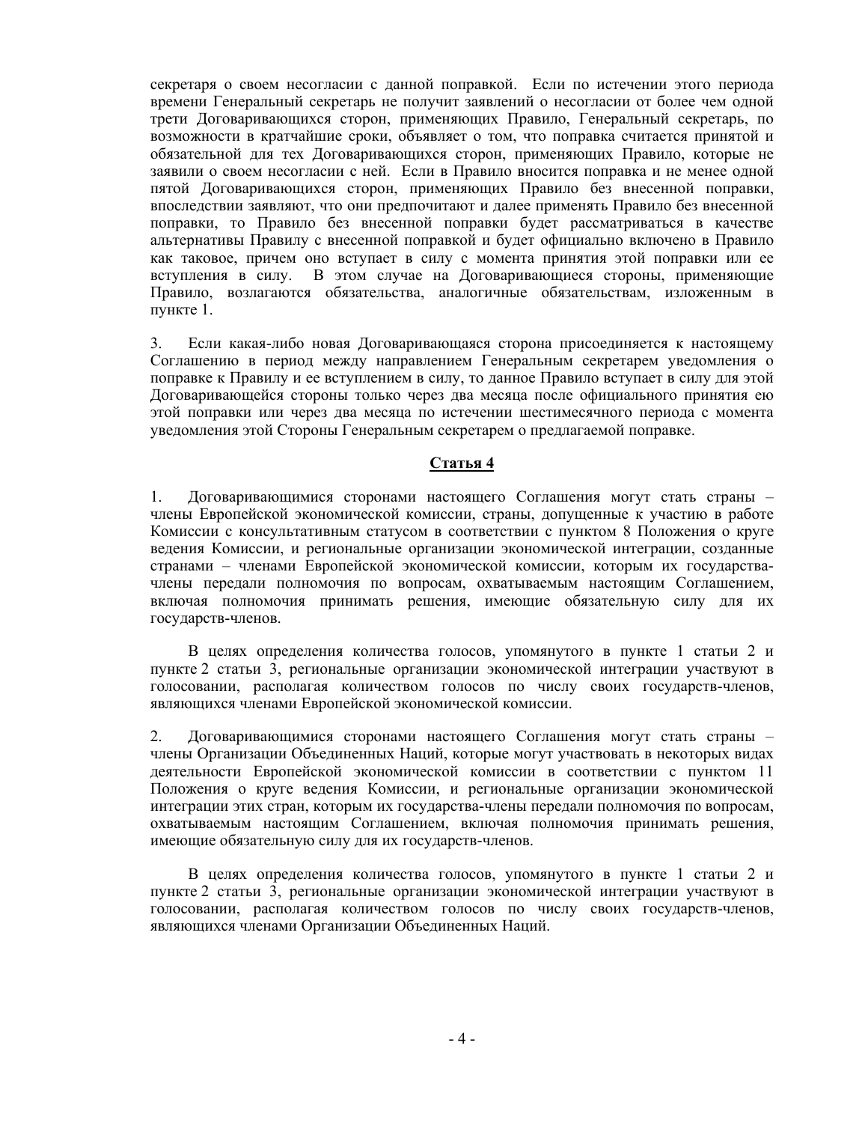секретаря о своем несогласии с данной поправкой. Если по истечении этого периода времени Генеральный секретарь не получит заявлений о несогласии от более чем одной трети Договаривающихся сторон, применяющих Правило, Генеральный секретарь, по возможности в кратчайшие сроки, объявляет о том, что поправка считается принятой и обязательной для тех Договаривающихся сторон, применяющих Правило, которые не заявили о своем несогласии с ней. Если в Правило вносится поправка и не менее одной пятой Договаривающихся сторон, применяющих Правило без внесенной поправки, впоследствии заявляют, что они предпочитают и далее применять Правило без внесенной поправки, то Правило без внесенной поправки будет рассматриваться в качестве альтернативы Правилу с внесенной поправкой и будет официально включено в Правило как таковое, причем оно вступает в силу с момента принятия этой поправки или ее вступления в силу. В этом случае на Договаривающиеся стороны, применяющие Правило, возлагаются обязательства, аналогичные обязательствам, изложенным в пункте 1.

3. Если какая-либо новая Договаривающаяся сторона присоединяется к настоящему Соглашению в период между направлением Генеральным секретарем уведомления о поправке к Правилу и ее вступлением в силу, то данное Правило вступает в силу для этой Договаривающейся стороны только через два месяца после официального принятия ею этой поправки или через два месяца по истечении шестимесячного периода с момента уведомления этой Стороны Генеральным секретарем о предлагаемой поправке.

# **Статья 4**

1. Договаривающимися сторонами настоящего Соглашения могут стать страны – члены Европейской экономической комиссии, страны, допущенные к участию в работе Комиссии с консультативным статусом в соответствии с пунктом 8 Положения о круге ведения Комиссии, и региональные организации экономической интеграции, созданные странами – членами Европейской экономической комиссии, которым их государствачлены передали полномочия по вопросам, охватываемым настоящим Соглашением, включая полномочия принимать решения, имеющие обязательную силу для их государств-членов.

В целях определения количества голосов, упомянутого в пункте 1 статьи 2 и пункте 2 статьи 3, региональные организации экономической интеграции участвуют в голосовании, располагая количеством голосов по числу своих государств-членов, являющихся членами Европейской экономической комиссии.

2. Договаривающимися сторонами настоящего Соглашения могут стать страны – члены Организации Объединенных Наций, которые могут участвовать в некоторых видах деятельности Европейской экономической комиссии в соответствии с пунктом 11 Положения о круге ведения Комиссии, и региональные организации экономической интеграции этих стран, которым их государства-члены передали полномочия по вопросам, охватываемым настоящим Соглашением, включая полномочия принимать решения, имеющие обязательную силу для их государств-членов.

В целях определения количества голосов, упомянутого в пункте 1 статьи 2 и пункте 2 статьи 3, региональные организации экономической интеграции участвуют в голосовании, располагая количеством голосов по числу своих государств-членов, являющихся членами Организации Объединенных Наций.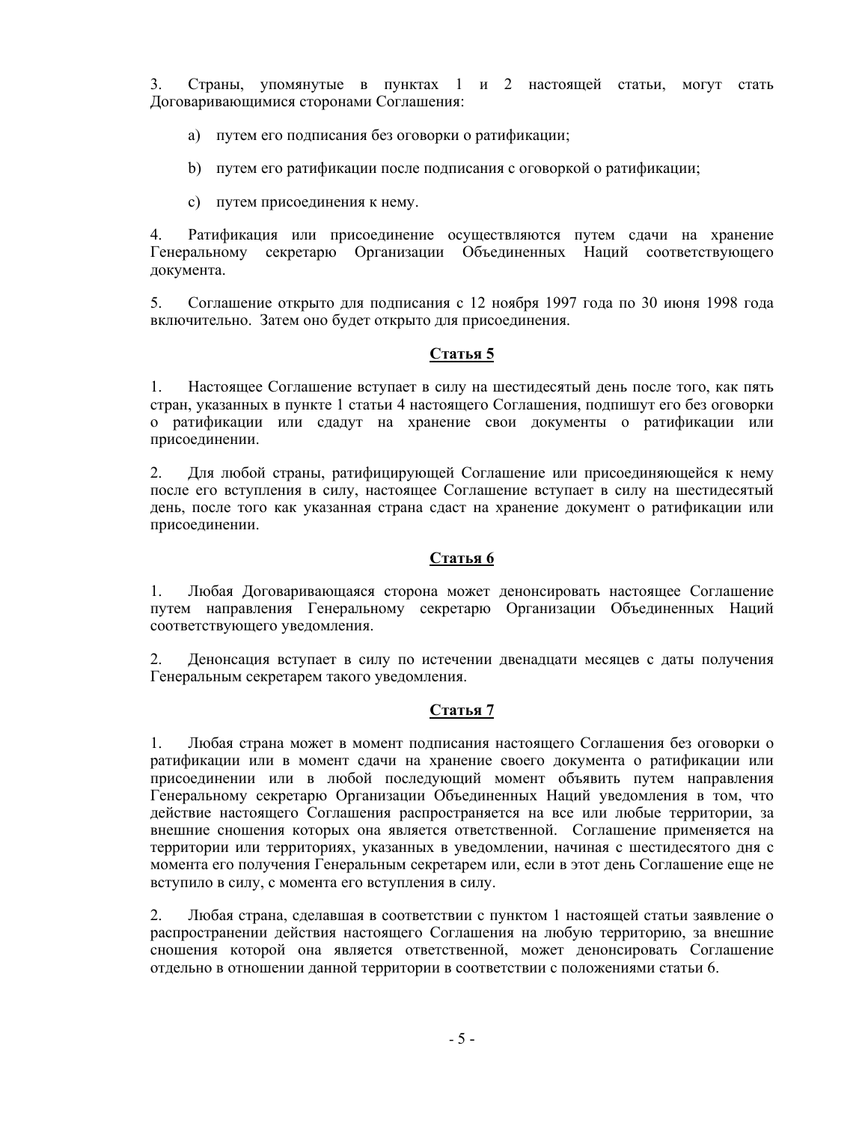3. Страны, упомянутые в пунктах 1 и 2 настоящей статьи, могут стать Договаривающимися сторонами Соглашения:

- a) путем его подписания без оговорки о ратификации;
- b) путем его ратификации после подписания с оговоркой о ратификации;
- c) путем присоединения к нему.

4. Ратификация или присоединение осуществляются путем сдачи на хранение Генеральному секретарю Организации Объединенных Наций соответствующего документа.

5. Соглашение открыто для подписания с 12 ноября 1997 года по 30 июня 1998 года включительно. Затем оно будет открыто для присоединения.

## **Статья 5**

1. Настоящее Соглашение вступает в силу на шестидесятый день после того, как пять стран, указанных в пункте 1 статьи 4 настоящего Соглашения, подпишут его без оговорки о ратификации или сдадут на хранение свои документы о ратификации или присоединении.

2. Для любой страны, ратифицирующей Соглашение или присоединяющейся к нему после его вступления в силу, настоящее Соглашение вступает в силу на шестидесятый день, после того как указанная страна сдаст на хранение документ о ратификации или присоединении.

### **Статья 6**

1. Любая Договаривающаяся сторона может денонсировать настоящее Соглашение путем направления Генеральному секретарю Организации Объединенных Наций соответствующего уведомления.

2. Денонсация вступает в силу по истечении двенадцати месяцев с даты получения Генеральным секретарем такого уведомления.

## **Статья 7**

1. Любая страна может в момент подписания настоящего Соглашения без оговорки о ратификации или в момент сдачи на хранение своего документа о ратификации или присоединении или в любой последующий момент объявить путем направления Генеральному секретарю Организации Объединенных Наций уведомления в том, что действие настоящего Соглашения распространяется на все или любые территории, за внешние сношения которых она является ответственной. Соглашение применяется на территории или территориях, указанных в уведомлении, начиная с шестидесятого дня с момента его получения Генеральным секретарем или, если в этот день Соглашение еще не вступило в силу, с момента его вступления в силу.

2. Любая страна, сделавшая в соответствии с пунктом 1 настоящей статьи заявление о распространении действия настоящего Соглашения на любую территорию, за внешние сношения которой она является ответственной, может денонсировать Соглашение отдельно в отношении данной территории в соответствии с положениями статьи 6.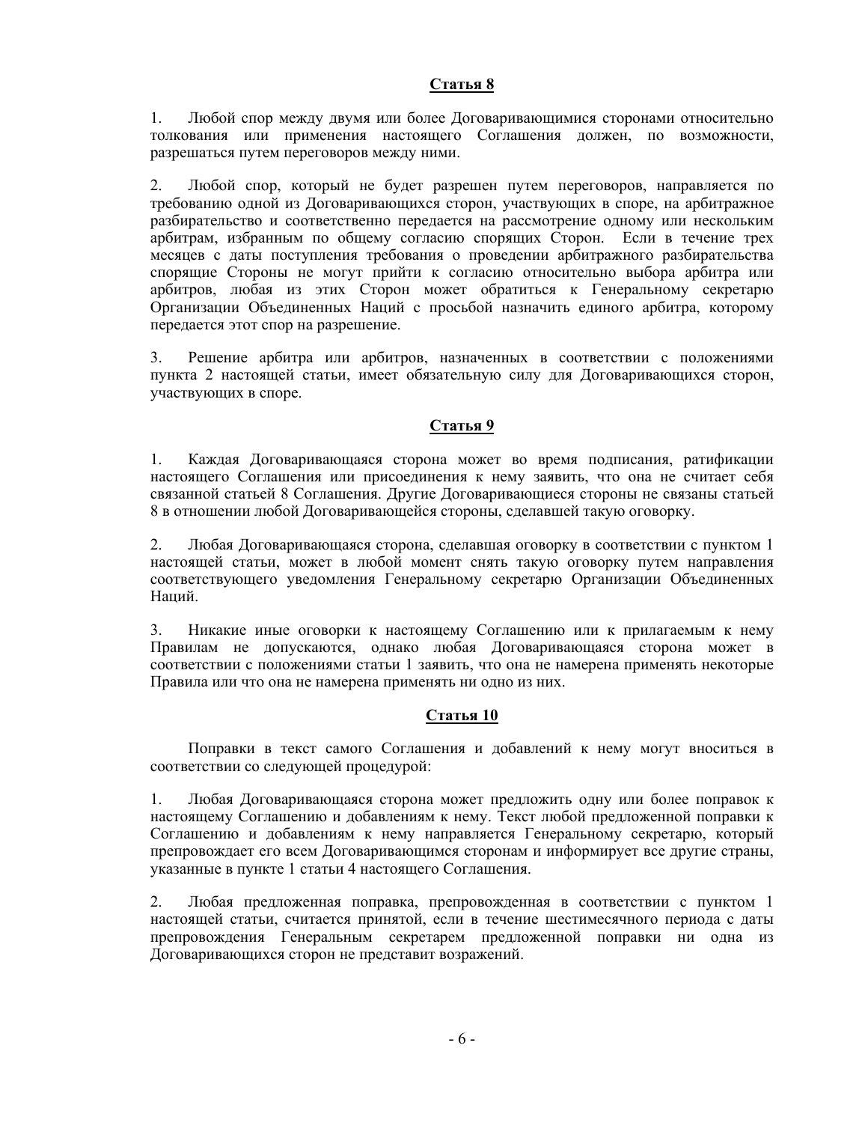### **Статья 8**

1. Любой спор между двумя или более Договаривающимися сторонами относительно толкования или применения настоящего Соглашения должен, по возможности, разрешаться путем переговоров между ними.

2. Любой спор, который не будет разрешен путем переговоров, направляется по требованию одной из Договаривающихся сторон, участвующих в споре, на арбитражное разбирательство и соответственно передается на рассмотрение одному или нескольким арбитрам, избранным по общему согласию спорящих Сторон. Если в течение трех месяцев с даты поступления требования о проведении арбитражного разбирательства спорящие Стороны не могут прийти к согласию относительно выбора арбитра или арбитров, любая из этих Сторон может обратиться к Генеральному секретарю Организации Объединенных Наций с просьбой назначить единого арбитра, которому передается этот спор на разрешение.

3. Решение арбитра или арбитров, назначенных в соответствии с положениями пункта 2 настоящей статьи, имеет обязательную силу для Договаривающихся сторон, участвующих в споре.

## **Статья 9**

1. Каждая Договаривающаяся сторона может во время подписания, ратификации настоящего Соглашения или присоединения к нему заявить, что она не считает себя связанной статьей 8 Соглашения. Другие Договаривающиеся стороны не связаны статьей 8 в отношении любой Договаривающейся стороны, сделавшей такую оговорку.

2. Любая Договаривающаяся сторона, сделавшая оговорку в соответствии с пунктом 1 настоящей статьи, может в любой момент снять такую оговорку путем направления соответствующего уведомления Генеральному секретарю Организации Объединенных Наций.

3. Никакие иные оговорки к настоящему Соглашению или к прилагаемым к нему Правилам не допускаются, однако любая Договаривающаяся сторона может в соответствии с положениями статьи 1 заявить, что она не намерена применять некоторые Правила или что она не намерена применять ни одно из них.

## **Статья 10**

Поправки в текст самого Соглашения и добавлений к нему могут вноситься в соответствии со следующей процедурой:

1. Любая Договаривающаяся сторона может предложить одну или более поправок к настоящему Соглашению и добавлениям к нему. Текст любой предложенной поправки к Соглашению и добавлениям к нему направляется Генеральному секретарю, который препровождает его всем Договаривающимся сторонам и информирует все другие страны, указанные в пункте 1 статьи 4 настоящего Соглашения.

2. Любая предложенная поправка, препровожденная в соответствии с пунктом 1 настоящей статьи, считается принятой, если в течение шестимесячного периода с даты препровождения Генеральным секретарем предложенной поправки ни одна из Договаривающихся сторон не представит возражений.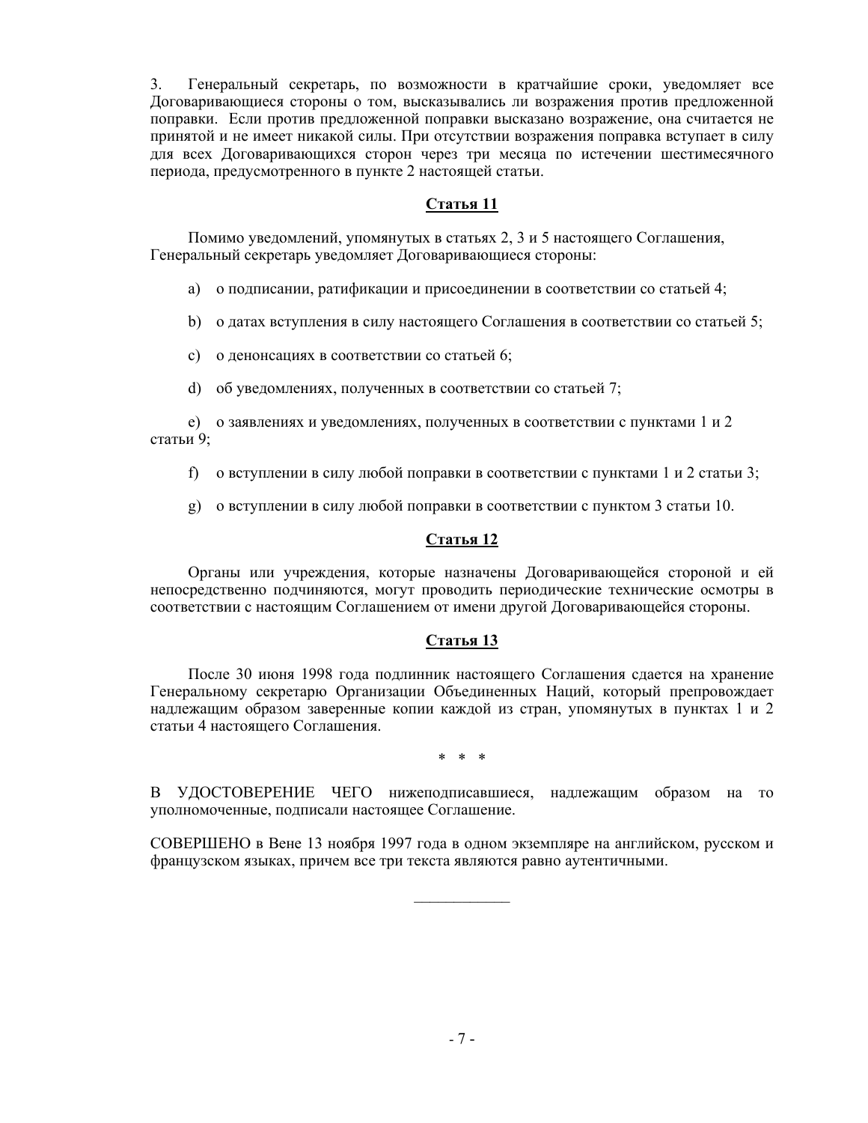3. Генеральный секретарь, по возможности в кратчайшие сроки, уведомляет все Договаривающиеся стороны о том, высказывались ли возражения против предложенной поправки. Если против предложенной поправки высказано возражение, она считается не принятой и не имеет никакой силы. При отсутствии возражения поправка вступает в силу для всех Договаривающихся сторон через три месяца по истечении шестимесячного периода, предусмотренного в пункте 2 настоящей статьи.

# **Статья 11**

Помимо уведомлений, упомянутых в статьях 2, 3 и 5 настоящего Соглашения, Генеральный секретарь уведомляет Договаривающиеся стороны:

a) о подписании, ратификации и присоединении в соответствии со статьей 4;

b) о датах вступления в силу настоящего Соглашения в соответствии со статьей 5;

- c) о денонсациях в соответствии со статьей 6;
- d) об уведомлениях, полученных в соответствии со статьей 7;

 e) о заявлениях и уведомлениях, полученных в соответствии с пунктами 1 и 2 статьи 9;

- f) о вступлении в силу любой поправки в соответствии с пунктами 1 и 2 статьи 3;
- g) о вступлении в силу любой поправки в соответствии с пунктом 3 статьи 10.

## **Статья 12**

Органы или учреждения, которые назначены Договаривающейся стороной и ей непосредственно подчиняются, могут проводить периодические технические осмотры в соответствии с настоящим Соглашением от имени другой Договаривающейся стороны.

## **Статья 13**

После 30 июня 1998 года подлинник настоящего Соглашения сдается на хранение Генеральному секретарю Организации Объединенных Наций, который препровождает надлежащим образом заверенные копии каждой из стран, упомянутых в пунктах 1 и 2 статьи 4 настоящего Соглашения.

\* \* \*

В УДОСТОВЕРЕНИЕ ЧЕГО нижеподписавшиеся, надлежащим образом на то уполномоченные, подписали настоящее Соглашение.

СОВЕРШЕНО в Вене 13 ноября 1997 года в одном экземпляре на английском, русском и французском языках, причем все три текста являются равно аутентичными.

 $\frac{1}{2}$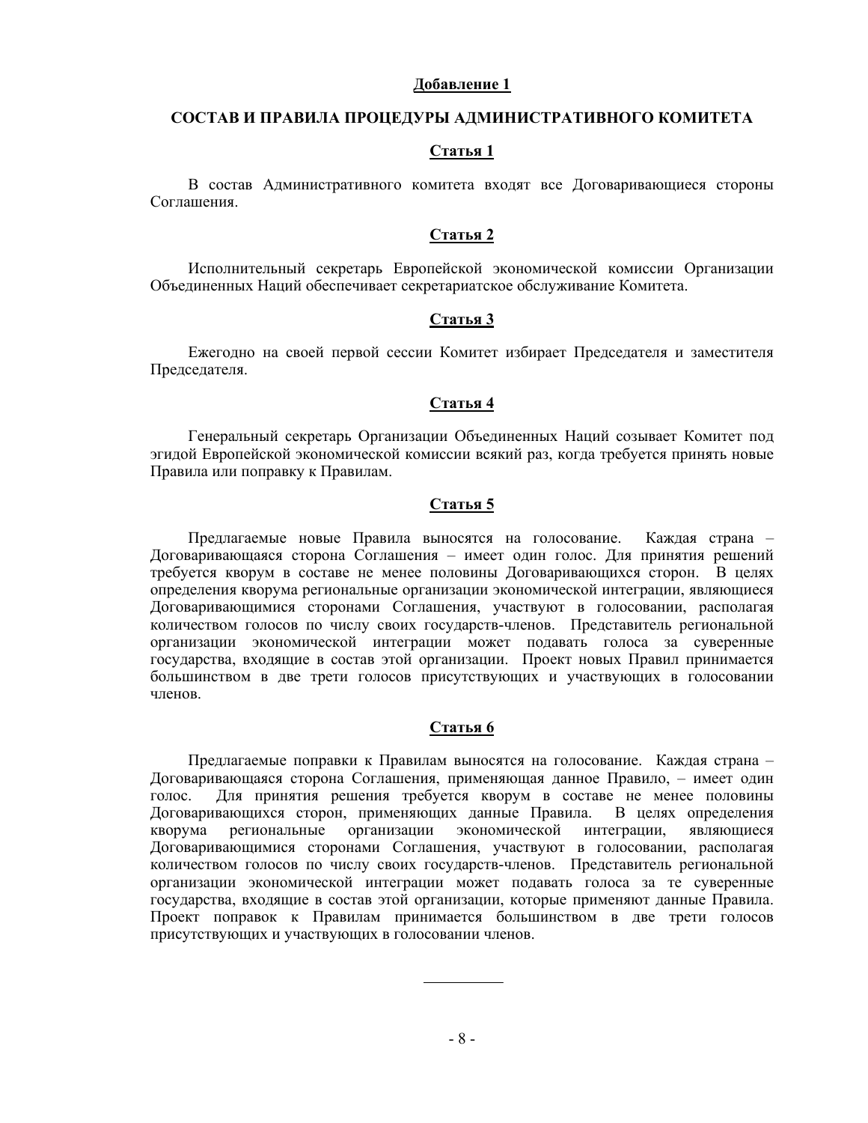#### **Добавление 1**

#### **СОСТАВ И ПРАВИЛА ПРОЦЕДУРЫ АДМИНИСТРАТИВНОГО КОМИТЕТА**

### **Статья 1**

В состав Административного комитета входят все Договаривающиеся стороны Соглашения.

#### **Статья 2**

Исполнительный секретарь Европейской экономической комиссии Организации Объединенных Наций обеспечивает секретариатское обслуживание Комитета.

## **Статья 3**

Ежегодно на своей первой сессии Комитет избирает Председателя и заместителя Председателя.

#### **Статья 4**

Генеральный секретарь Организации Объединенных Наций созывает Комитет под эгидой Европейской экономической комиссии всякий раз, когда требуется принять новые Правила или поправку к Правилам.

#### **Статья 5**

Предлагаемые новые Правила выносятся на голосование. Каждая страна – Договаривающаяся сторона Соглашения – имеет один голос. Для принятия решений требуется кворум в составе не менее половины Договаривающихся сторон. В целях определения кворума региональные организации экономической интеграции, являющиеся Договаривающимися сторонами Соглашения, участвуют в голосовании, располагая количеством голосов по числу своих государств-членов. Представитель региональной организации экономической интеграции может подавать голоса за суверенные государства, входящие в состав этой организации. Проект новых Правил принимается большинством в две трети голосов присутствующих и участвующих в голосовании членов.

## **Статья 6**

Предлагаемые поправки к Правилам выносятся на голосование. Каждая страна – Договаривающаяся сторона Соглашения, применяющая данное Правило, – имеет один голос. Для принятия решения требуется кворум в составе не менее половины Договаривающихся сторон, применяющих данные Правила. В целях определения кворума региональные организации экономической интеграции, являющиеся Договаривающимися сторонами Соглашения, участвуют в голосовании, располагая количеством голосов по числу своих государств-членов. Представитель региональной организации экономической интеграции может подавать голоса за те суверенные государства, входящие в состав этой организации, которые применяют данные Правила. Проект поправок к Правилам принимается большинством в две трети голосов присутствующих и участвующих в голосовании членов.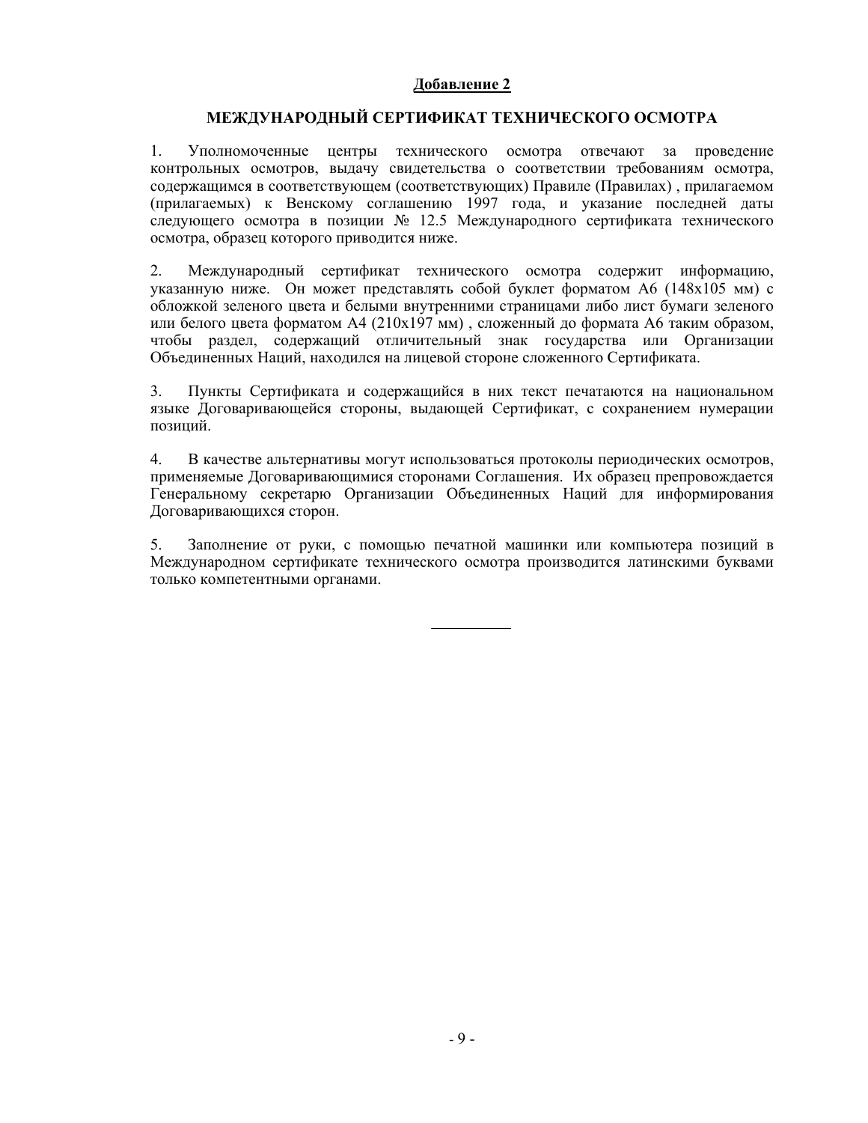### **Добавление 2**

## **МЕЖДУНАРОДНЫЙ СЕРТИФИКАТ ТЕХНИЧЕСКОГО ОСМОТРА**

1. Уполномоченные центры технического осмотра отвечают за проведение контрольных осмотров, выдачу свидетельства о соответствии требованиям осмотра, содержащимся в соответствующем (соответствующих) Правиле (Правилах) , прилагаемом (прилагаемых) к Венскому соглашению 1997 года, и указание последней даты следующего осмотра в позиции № 12.5 Международного сертификата технического осмотра, образец которого приводится ниже.

2. Международный сертификат технического осмотра содержит информацию, указанную ниже. Он может представлять собой буклет форматом А6 (148х105 мм) с обложкой зеленого цвета и белыми внутренними страницами либо лист бумаги зеленого или белого цвета форматом А4 (210х197 мм) , сложенный до формата А6 таким образом, чтобы раздел, содержащий отличительный знак государства или Организации Объединенных Наций, находился на лицевой стороне сложенного Сертификата.

3. Пункты Сертификата и содержащийся в них текст печатаются на национальном языке Договаривающейся стороны, выдающей Сертификат, с сохранением нумерации позиций.

4. В качестве альтернативы могут использоваться протоколы периодических осмотров, применяемые Договаривающимися сторонами Соглашения. Их образец препровождается Генеральному секретарю Организации Объединенных Наций для информирования Договаривающихся сторон.

5. Заполнение от руки, с помощью печатной машинки или компьютера позиций в Международном сертификате технического осмотра производится латинскими буквами только компетентными органами.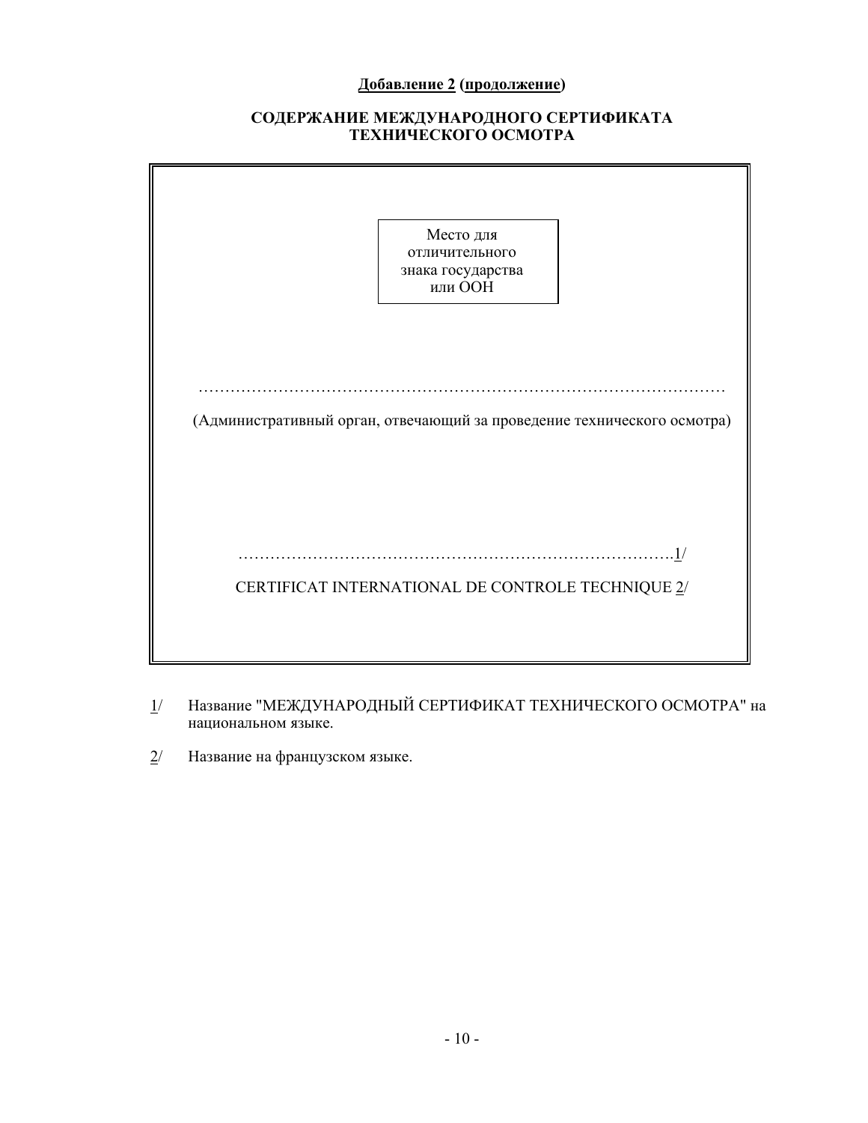# **Добавление 2 (продолжение)**

# **СОДЕРЖАНИЕ МЕЖДУНАРОДНОГО СЕРТИФИКАТА ТЕХНИЧЕСКОГО ОСМОТРА**

|                                                                         | Место для<br>отличительного<br>знака государства<br>или ООН |     |
|-------------------------------------------------------------------------|-------------------------------------------------------------|-----|
| (Административный орган, отвечающий за проведение технического осмотра) |                                                             |     |
|                                                                         | CERTIFICAT INTERNATIONAL DE CONTROLE TECHNIQUE 2/           | .1/ |

- 1/ Название "МЕЖДУНАРОДНЫЙ СЕРТИФИКАТ ТЕХНИЧЕСКОГО ОСМОТРА" на национальном языке.
- 2/ Название на французском языке.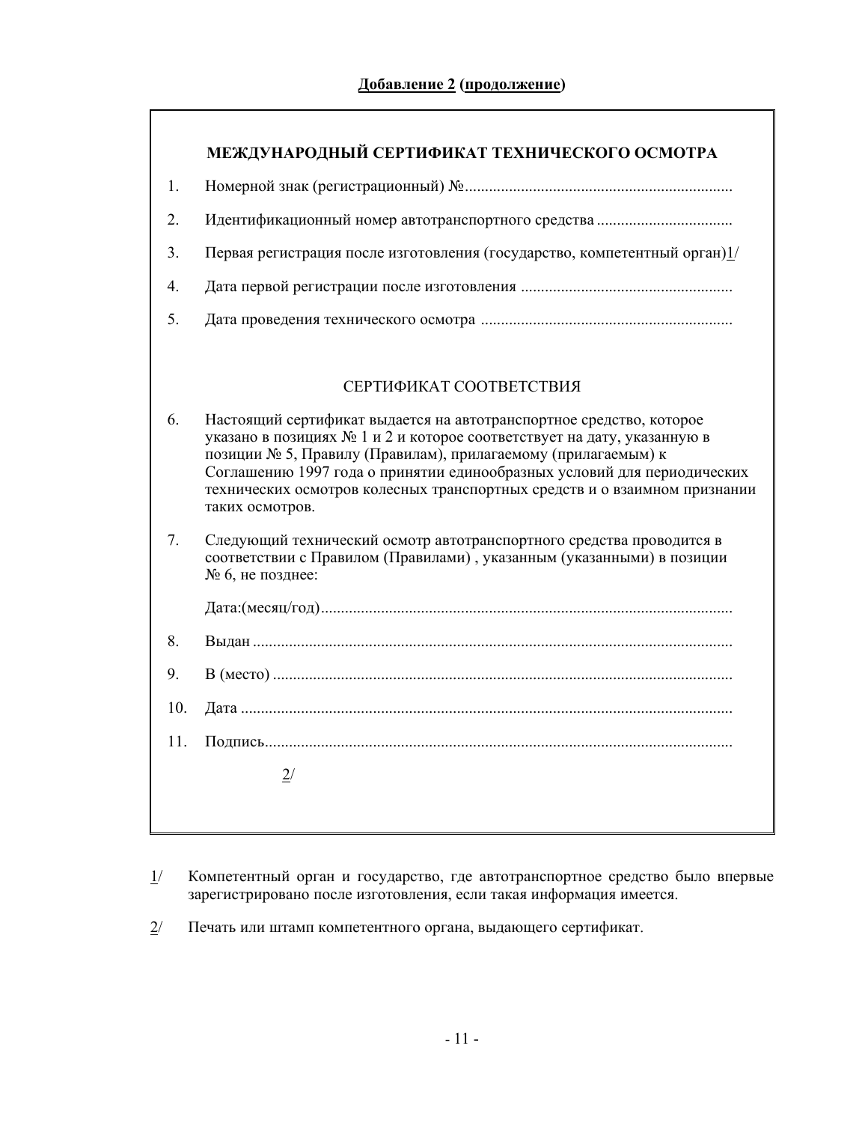|                  | МЕЖДУНАРОДНЫЙ СЕРТИФИКАТ ТЕХНИЧЕСКОГО ОСМОТРА                                                                                                                                                                                                                                                                                                                                              |
|------------------|--------------------------------------------------------------------------------------------------------------------------------------------------------------------------------------------------------------------------------------------------------------------------------------------------------------------------------------------------------------------------------------------|
| 1.               |                                                                                                                                                                                                                                                                                                                                                                                            |
| 2.               |                                                                                                                                                                                                                                                                                                                                                                                            |
| 3.               | Первая регистрация после изготовления (государство, компетентный орган) $1/$                                                                                                                                                                                                                                                                                                               |
| $\overline{4}$ . |                                                                                                                                                                                                                                                                                                                                                                                            |
| 5.               |                                                                                                                                                                                                                                                                                                                                                                                            |
|                  |                                                                                                                                                                                                                                                                                                                                                                                            |
|                  | СЕРТИФИКАТ СООТВЕТСТВИЯ                                                                                                                                                                                                                                                                                                                                                                    |
| 6.               | Настоящий сертификат выдается на автотранспортное средство, которое<br>указано в позициях № 1 и 2 и которое соответствует на дату, указанную в<br>позиции № 5, Правилу (Правилам), прилагаемому (прилагаемым) к<br>Соглашению 1997 года о принятии единообразных условий для периодических<br>технических осмотров колесных транспортных средств и о взаимном признании<br>таких осмотров. |
| 7.               | Следующий технический осмотр автотранспортного средства проводится в<br>соответствии с Правилом (Правилами), указанным (указанными) в позиции<br>№ 6, не позднее:                                                                                                                                                                                                                          |
|                  |                                                                                                                                                                                                                                                                                                                                                                                            |
| 8.               |                                                                                                                                                                                                                                                                                                                                                                                            |
| 9.               |                                                                                                                                                                                                                                                                                                                                                                                            |
| 10.              |                                                                                                                                                                                                                                                                                                                                                                                            |
| 11.              |                                                                                                                                                                                                                                                                                                                                                                                            |
|                  | 2/                                                                                                                                                                                                                                                                                                                                                                                         |
|                  |                                                                                                                                                                                                                                                                                                                                                                                            |

- 1/ Компетентный орган и государство, где автотранспортное средство было впервые зарегистрировано после изготовления, если такая информация имеется.
- 2/ Печать или штамп компетентного органа, выдающего сертификат.